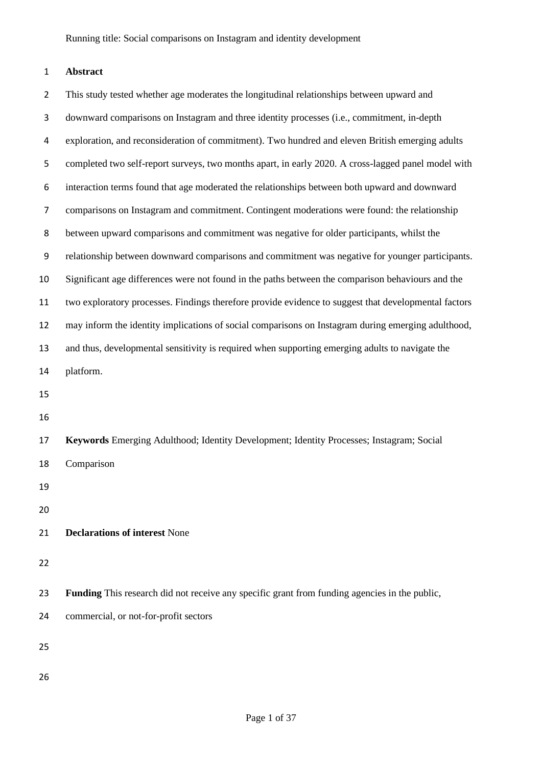# **Abstract**

| $\overline{2}$ | This study tested whether age moderates the longitudinal relationships between upward and            |
|----------------|------------------------------------------------------------------------------------------------------|
| 3              | downward comparisons on Instagram and three identity processes (i.e., commitment, in-depth           |
| 4              | exploration, and reconsideration of commitment). Two hundred and eleven British emerging adults      |
| 5              | completed two self-report surveys, two months apart, in early 2020. A cross-lagged panel model with  |
| 6              | interaction terms found that age moderated the relationships between both upward and downward        |
| 7              | comparisons on Instagram and commitment. Contingent moderations were found: the relationship         |
| 8              | between upward comparisons and commitment was negative for older participants, whilst the            |
| 9              | relationship between downward comparisons and commitment was negative for younger participants.      |
| 10             | Significant age differences were not found in the paths between the comparison behaviours and the    |
| 11             | two exploratory processes. Findings therefore provide evidence to suggest that developmental factors |
| 12             | may inform the identity implications of social comparisons on Instagram during emerging adulthood,   |
| 13             | and thus, developmental sensitivity is required when supporting emerging adults to navigate the      |
| 14             | platform.                                                                                            |
| 15             |                                                                                                      |
| 16             |                                                                                                      |
| 17             | Keywords Emerging Adulthood; Identity Development; Identity Processes; Instagram; Social             |
| 18             | Comparison                                                                                           |
| 19             |                                                                                                      |
| 20             |                                                                                                      |
| 21             | <b>Declarations of interest None</b>                                                                 |
| 22             |                                                                                                      |
| 23             | Funding This research did not receive any specific grant from funding agencies in the public,        |
| 24             | commercial, or not-for-profit sectors                                                                |
| 25             |                                                                                                      |
| 26             |                                                                                                      |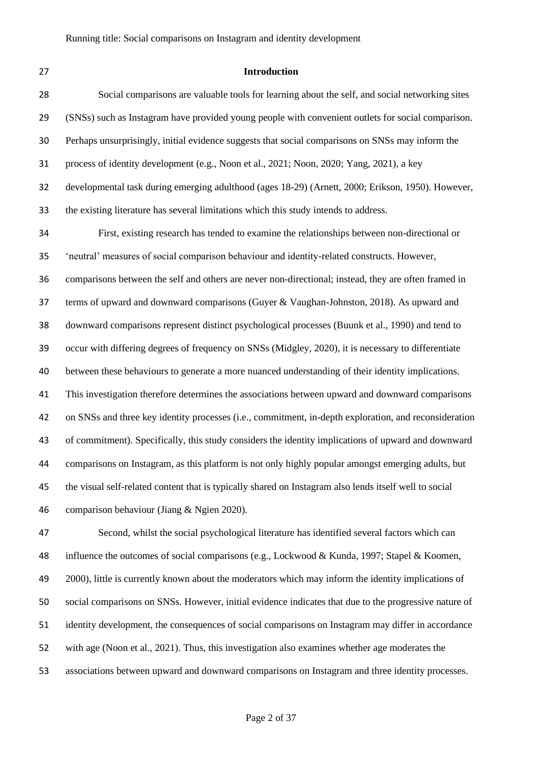# **Introduction**

| 28 | Social comparisons are valuable tools for learning about the self, and social networking sites         |
|----|--------------------------------------------------------------------------------------------------------|
| 29 | (SNSs) such as Instagram have provided young people with convenient outlets for social comparison.     |
| 30 | Perhaps unsurprisingly, initial evidence suggests that social comparisons on SNSs may inform the       |
| 31 | process of identity development (e.g., Noon et al., 2021; Noon, 2020; Yang, 2021), a key               |
| 32 | developmental task during emerging adulthood (ages 18-29) (Arnett, 2000; Erikson, 1950). However,      |
| 33 | the existing literature has several limitations which this study intends to address.                   |
| 34 | First, existing research has tended to examine the relationships between non-directional or            |
| 35 | 'neutral' measures of social comparison behaviour and identity-related constructs. However,            |
| 36 | comparisons between the self and others are never non-directional; instead, they are often framed in   |
| 37 | terms of upward and downward comparisons (Guyer & Vaughan-Johnston, 2018). As upward and               |
| 38 | downward comparisons represent distinct psychological processes (Buunk et al., 1990) and tend to       |
| 39 | occur with differing degrees of frequency on SNSs (Midgley, 2020), it is necessary to differentiate    |
| 40 | between these behaviours to generate a more nuanced understanding of their identity implications.      |
| 41 | This investigation therefore determines the associations between upward and downward comparisons       |
| 42 | on SNSs and three key identity processes (i.e., commitment, in-depth exploration, and reconsideration  |
| 43 | of commitment). Specifically, this study considers the identity implications of upward and downward    |
| 44 | comparisons on Instagram, as this platform is not only highly popular amongst emerging adults, but     |
| 45 | the visual self-related content that is typically shared on Instagram also lends itself well to social |
| 46 | comparison behaviour (Jiang & Ngien 2020).                                                             |
|    |                                                                                                        |

 Second, whilst the social psychological literature has identified several factors which can influence the outcomes of social comparisons (e.g., Lockwood & Kunda, 1997; Stapel & Koomen, 49 2000), little is currently known about the moderators which may inform the identity implications of social comparisons on SNSs. However, initial evidence indicates that due to the progressive nature of identity development, the consequences of social comparisons on Instagram may differ in accordance with age (Noon et al., 2021). Thus, this investigation also examines whether age moderates the associations between upward and downward comparisons on Instagram and three identity processes.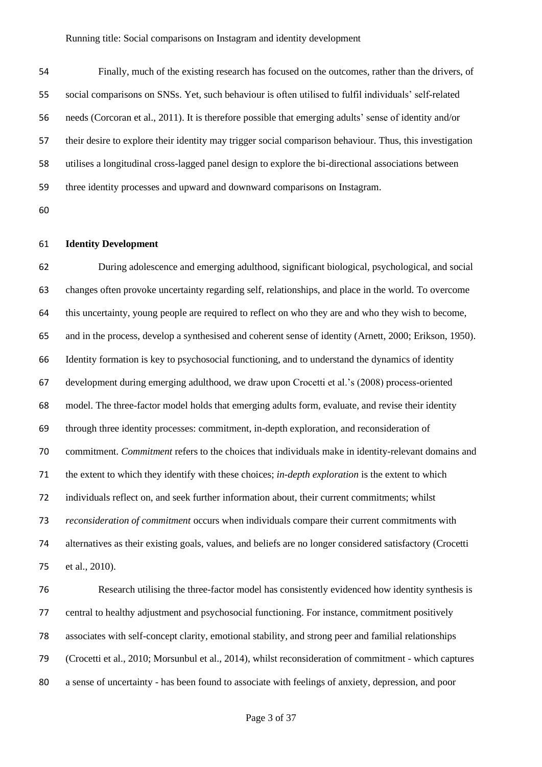Finally, much of the existing research has focused on the outcomes, rather than the drivers, of social comparisons on SNSs. Yet, such behaviour is often utilised to fulfil individuals' self-related needs (Corcoran et al., 2011). It is therefore possible that emerging adults' sense of identity and/or their desire to explore their identity may trigger social comparison behaviour. Thus, this investigation utilises a longitudinal cross-lagged panel design to explore the bi-directional associations between three identity processes and upward and downward comparisons on Instagram.

# **Identity Development**

 During adolescence and emerging adulthood, significant biological, psychological, and social changes often provoke uncertainty regarding self, relationships, and place in the world. To overcome this uncertainty, young people are required to reflect on who they are and who they wish to become, and in the process, develop a synthesised and coherent sense of identity (Arnett, 2000; Erikson, 1950). Identity formation is key to psychosocial functioning, and to understand the dynamics of identity development during emerging adulthood, we draw upon Crocetti et al.'s (2008) process-oriented model. The three-factor model holds that emerging adults form, evaluate, and revise their identity through three identity processes: commitment, in-depth exploration, and reconsideration of commitment. *Commitment* refers to the choices that individuals make in identity-relevant domains and the extent to which they identify with these choices; *in-depth exploration* is the extent to which individuals reflect on, and seek further information about, their current commitments; whilst *reconsideration of commitment* occurs when individuals compare their current commitments with alternatives as their existing goals, values, and beliefs are no longer considered satisfactory (Crocetti et al., 2010).

 Research utilising the three-factor model has consistently evidenced how identity synthesis is central to healthy adjustment and psychosocial functioning. For instance, commitment positively associates with self-concept clarity, emotional stability, and strong peer and familial relationships (Crocetti et al., 2010; Morsunbul et al., 2014), whilst reconsideration of commitment - which captures a sense of uncertainty - has been found to associate with feelings of anxiety, depression, and poor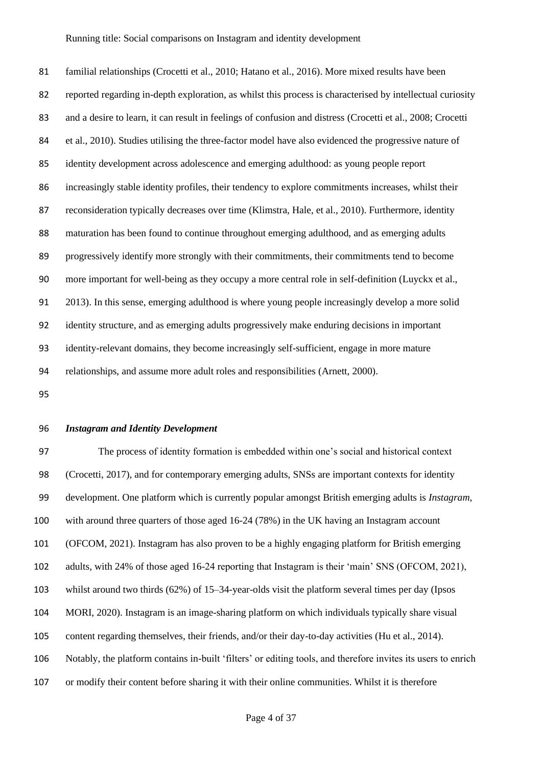familial relationships (Crocetti et al., 2010; Hatano et al., 2016). More mixed results have been reported regarding in-depth exploration, as whilst this process is characterised by intellectual curiosity 83 and a desire to learn, it can result in feelings of confusion and distress (Crocetti et al., 2008; Crocetti et al., 2010). Studies utilising the three-factor model have also evidenced the progressive nature of identity development across adolescence and emerging adulthood: as young people report increasingly stable identity profiles, their tendency to explore commitments increases, whilst their reconsideration typically decreases over time (Klimstra, Hale, et al., 2010). Furthermore, identity maturation has been found to continue throughout emerging adulthood, and as emerging adults progressively identify more strongly with their commitments, their commitments tend to become more important for well-being as they occupy a more central role in self-definition (Luyckx et al., 2013). In this sense, emerging adulthood is where young people increasingly develop a more solid identity structure, and as emerging adults progressively make enduring decisions in important identity-relevant domains, they become increasingly self-sufficient, engage in more mature relationships, and assume more adult roles and responsibilities (Arnett, 2000).

#### *Instagram and Identity Development*

 The process of identity formation is embedded within one's social and historical context (Crocetti, 2017), and for contemporary emerging adults, SNSs are important contexts for identity development. One platform which is currently popular amongst British emerging adults is *Instagram*, with around three quarters of those aged 16-24 (78%) in the UK having an Instagram account (OFCOM, 2021). Instagram has also proven to be a highly engaging platform for British emerging adults, with 24% of those aged 16-24 reporting that Instagram is their 'main' SNS (OFCOM, 2021), whilst around two thirds (62%) of 15–34-year-olds visit the platform several times per day (Ipsos MORI, 2020). Instagram is an image-sharing platform on which individuals typically share visual content regarding themselves, their friends, and/or their day-to-day activities (Hu et al., 2014). Notably, the platform contains in-built 'filters' or editing tools, and therefore invites its users to enrich or modify their content before sharing it with their online communities. Whilst it is therefore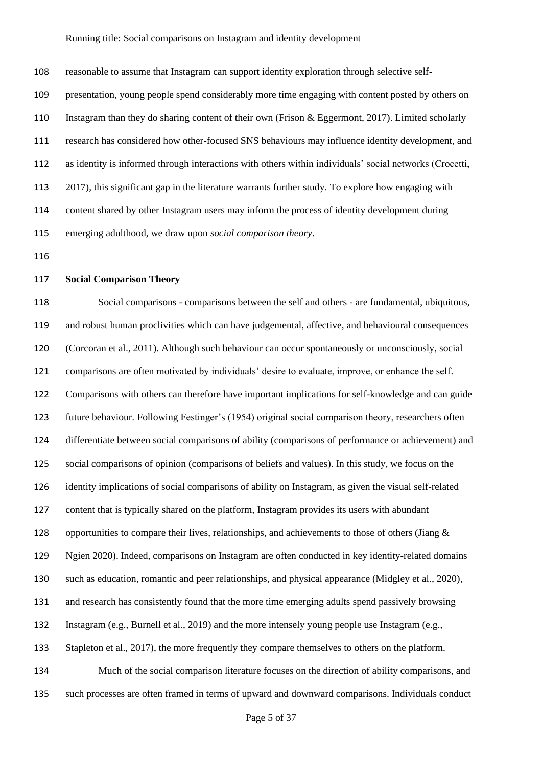reasonable to assume that Instagram can support identity exploration through selective self- presentation, young people spend considerably more time engaging with content posted by others on Instagram than they do sharing content of their own (Frison & Eggermont, 2017). Limited scholarly research has considered how other-focused SNS behaviours may influence identity development, and as identity is informed through interactions with others within individuals' social networks (Crocetti, 2017), this significant gap in the literature warrants further study. To explore how engaging with content shared by other Instagram users may inform the process of identity development during emerging adulthood, we draw upon *social comparison theory*.

# **Social Comparison Theory**

 Social comparisons - comparisons between the self and others - are fundamental, ubiquitous, and robust human proclivities which can have judgemental, affective, and behavioural consequences (Corcoran et al., 2011). Although such behaviour can occur spontaneously or unconsciously, social comparisons are often motivated by individuals' desire to evaluate, improve, or enhance the self. Comparisons with others can therefore have important implications for self-knowledge and can guide future behaviour. Following Festinger's (1954) original social comparison theory, researchers often differentiate between social comparisons of ability (comparisons of performance or achievement) and social comparisons of opinion (comparisons of beliefs and values). In this study, we focus on the identity implications of social comparisons of ability on Instagram, as given the visual self-related content that is typically shared on the platform, Instagram provides its users with abundant 128 opportunities to compare their lives, relationships, and achievements to those of others (Jiang  $\&$  Ngien 2020). Indeed, comparisons on Instagram are often conducted in key identity-related domains such as education, romantic and peer relationships, and physical appearance (Midgley et al., 2020), and research has consistently found that the more time emerging adults spend passively browsing Instagram (e.g., Burnell et al., 2019) and the more intensely young people use Instagram (e.g., Stapleton et al., 2017), the more frequently they compare themselves to others on the platform. Much of the social comparison literature focuses on the direction of ability comparisons, and such processes are often framed in terms of upward and downward comparisons. Individuals conduct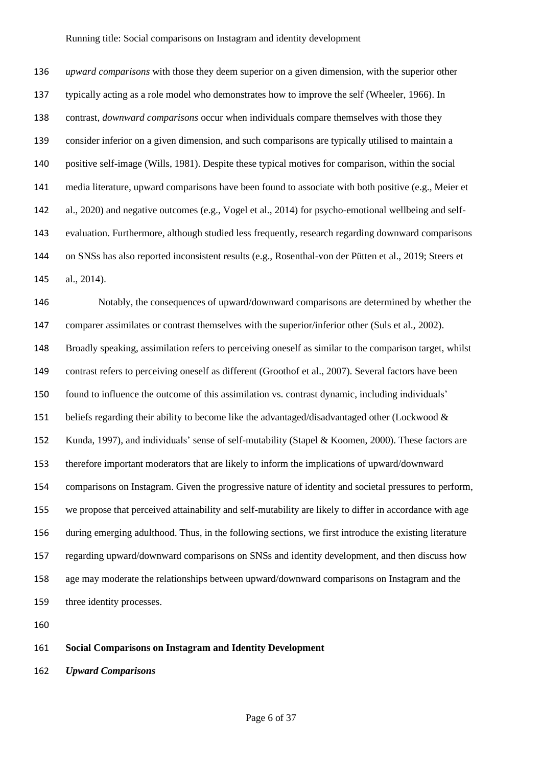*upward comparisons* with those they deem superior on a given dimension, with the superior other typically acting as a role model who demonstrates how to improve the self (Wheeler, 1966). In contrast, *downward comparisons* occur when individuals compare themselves with those they consider inferior on a given dimension, and such comparisons are typically utilised to maintain a positive self-image (Wills, 1981). Despite these typical motives for comparison, within the social media literature, upward comparisons have been found to associate with both positive (e.g., Meier et al., 2020) and negative outcomes (e.g., Vogel et al., 2014) for psycho-emotional wellbeing and self- evaluation. Furthermore, although studied less frequently, research regarding downward comparisons on SNSs has also reported inconsistent results (e.g., Rosenthal-von der Pütten et al., 2019; Steers et al., 2014).

 Notably, the consequences of upward/downward comparisons are determined by whether the comparer assimilates or contrast themselves with the superior/inferior other (Suls et al., 2002). Broadly speaking, assimilation refers to perceiving oneself as similar to the comparison target, whilst contrast refers to perceiving oneself as different (Groothof et al., 2007). Several factors have been found to influence the outcome of this assimilation vs. contrast dynamic, including individuals' 151 beliefs regarding their ability to become like the advantaged/disadvantaged other (Lockwood & Kunda, 1997), and individuals' sense of self-mutability (Stapel & Koomen, 2000). These factors are therefore important moderators that are likely to inform the implications of upward/downward comparisons on Instagram. Given the progressive nature of identity and societal pressures to perform, we propose that perceived attainability and self-mutability are likely to differ in accordance with age during emerging adulthood. Thus, in the following sections, we first introduce the existing literature regarding upward/downward comparisons on SNSs and identity development, and then discuss how age may moderate the relationships between upward/downward comparisons on Instagram and the three identity processes.

# **Social Comparisons on Instagram and Identity Development**

*Upward Comparisons*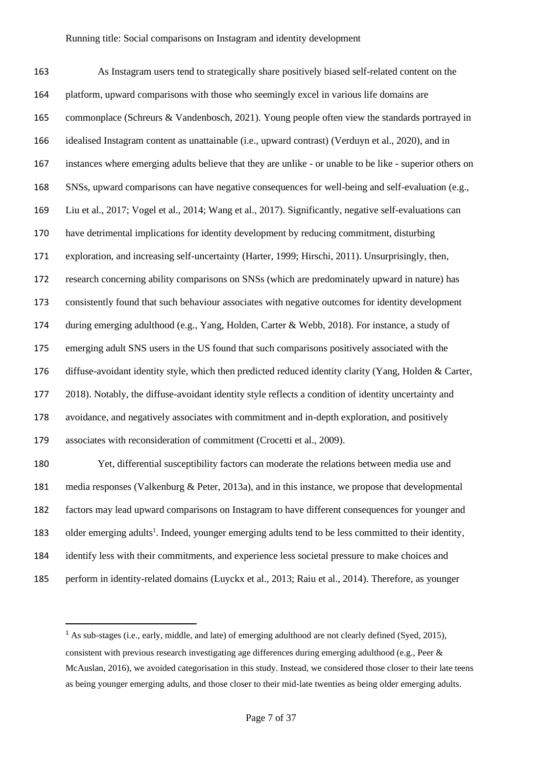As Instagram users tend to strategically share positively biased self-related content on the platform, upward comparisons with those who seemingly excel in various life domains are commonplace (Schreurs & Vandenbosch, 2021). Young people often view the standards portrayed in idealised Instagram content as unattainable (i.e., upward contrast) (Verduyn et al., 2020), and in instances where emerging adults believe that they are unlike - or unable to be like - superior others on SNSs, upward comparisons can have negative consequences for well-being and self-evaluation (e.g., Liu et al., 2017; Vogel et al., 2014; Wang et al., 2017). Significantly, negative self-evaluations can have detrimental implications for identity development by reducing commitment, disturbing exploration, and increasing self-uncertainty (Harter, 1999; Hirschi, 2011). Unsurprisingly, then, research concerning ability comparisons on SNSs (which are predominately upward in nature) has consistently found that such behaviour associates with negative outcomes for identity development during emerging adulthood (e.g., Yang, Holden, Carter & Webb, 2018). For instance, a study of emerging adult SNS users in the US found that such comparisons positively associated with the diffuse-avoidant identity style, which then predicted reduced identity clarity (Yang, Holden & Carter, 2018). Notably, the diffuse-avoidant identity style reflects a condition of identity uncertainty and avoidance, and negatively associates with commitment and in-depth exploration, and positively associates with reconsideration of commitment (Crocetti et al., 2009). Yet, differential susceptibility factors can moderate the relations between media use and

 media responses (Valkenburg & Peter, 2013a), and in this instance, we propose that developmental factors may lead upward comparisons on Instagram to have different consequences for younger and 183 older emerging adults<sup>1</sup>. Indeed, younger emerging adults tend to be less committed to their identity, identify less with their commitments, and experience less societal pressure to make choices and perform in identity-related domains (Luyckx et al., 2013; Raiu et al., 2014). Therefore, as younger

<sup>&</sup>lt;sup>1</sup> As sub-stages (i.e., early, middle, and late) of emerging adulthood are not clearly defined (Syed, 2015), consistent with previous research investigating age differences during emerging adulthood (e.g., Peer & McAuslan, 2016), we avoided categorisation in this study. Instead, we considered those closer to their late teens as being younger emerging adults, and those closer to their mid-late twenties as being older emerging adults.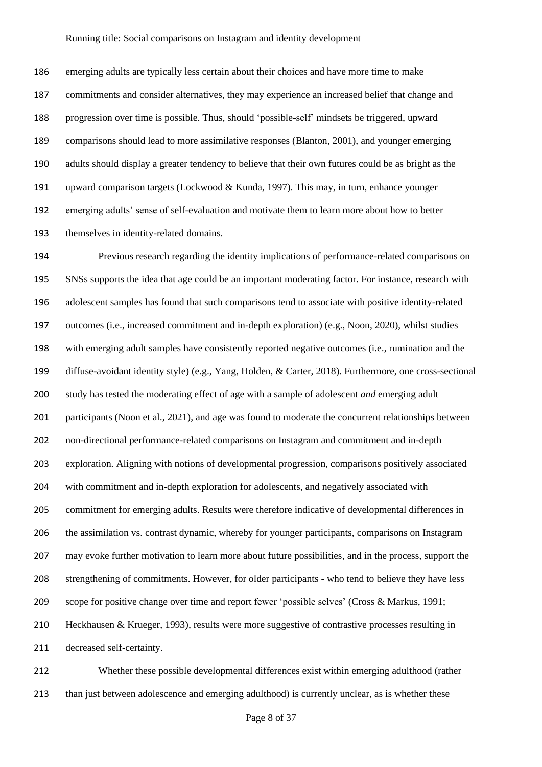emerging adults are typically less certain about their choices and have more time to make commitments and consider alternatives, they may experience an increased belief that change and progression over time is possible. Thus, should 'possible-self' mindsets be triggered, upward comparisons should lead to more assimilative responses (Blanton, 2001), and younger emerging adults should display a greater tendency to believe that their own futures could be as bright as the upward comparison targets (Lockwood & Kunda, 1997). This may, in turn, enhance younger emerging adults' sense of self-evaluation and motivate them to learn more about how to better themselves in identity-related domains.

 Previous research regarding the identity implications of performance-related comparisons on SNSs supports the idea that age could be an important moderating factor. For instance, research with adolescent samples has found that such comparisons tend to associate with positive identity-related outcomes (i.e., increased commitment and in-depth exploration) (e.g., Noon, 2020), whilst studies with emerging adult samples have consistently reported negative outcomes (i.e., rumination and the diffuse-avoidant identity style) (e.g., Yang, Holden, & Carter, 2018). Furthermore, one cross-sectional study has tested the moderating effect of age with a sample of adolescent *and* emerging adult participants (Noon et al., 2021), and age was found to moderate the concurrent relationships between non-directional performance-related comparisons on Instagram and commitment and in-depth exploration. Aligning with notions of developmental progression, comparisons positively associated with commitment and in-depth exploration for adolescents, and negatively associated with commitment for emerging adults. Results were therefore indicative of developmental differences in the assimilation vs. contrast dynamic, whereby for younger participants, comparisons on Instagram may evoke further motivation to learn more about future possibilities, and in the process, support the strengthening of commitments. However, for older participants - who tend to believe they have less scope for positive change over time and report fewer 'possible selves' (Cross & Markus, 1991; Heckhausen & Krueger, 1993), results were more suggestive of contrastive processes resulting in decreased self-certainty.

 Whether these possible developmental differences exist within emerging adulthood (rather than just between adolescence and emerging adulthood) is currently unclear, as is whether these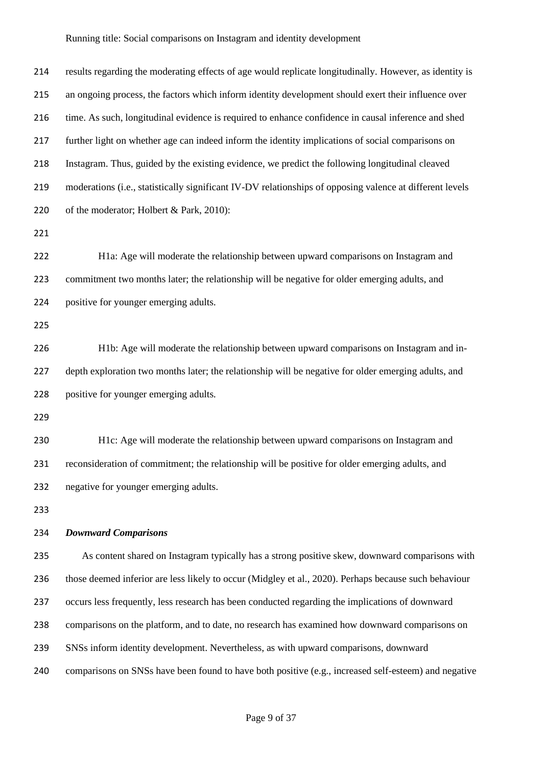| 214 | results regarding the moderating effects of age would replicate longitudinally. However, as identity is  |  |  |  |  |
|-----|----------------------------------------------------------------------------------------------------------|--|--|--|--|
| 215 | an ongoing process, the factors which inform identity development should exert their influence over      |  |  |  |  |
| 216 | time. As such, longitudinal evidence is required to enhance confidence in causal inference and shed      |  |  |  |  |
| 217 | further light on whether age can indeed inform the identity implications of social comparisons on        |  |  |  |  |
| 218 | Instagram. Thus, guided by the existing evidence, we predict the following longitudinal cleaved          |  |  |  |  |
| 219 | moderations (i.e., statistically significant IV-DV relationships of opposing valence at different levels |  |  |  |  |
| 220 | of the moderator; Holbert & Park, 2010):                                                                 |  |  |  |  |
| 221 |                                                                                                          |  |  |  |  |
| 222 | H1a: Age will moderate the relationship between upward comparisons on Instagram and                      |  |  |  |  |
| 223 | commitment two months later; the relationship will be negative for older emerging adults, and            |  |  |  |  |
| 224 | positive for younger emerging adults.                                                                    |  |  |  |  |
| 225 |                                                                                                          |  |  |  |  |
| 226 | H1b: Age will moderate the relationship between upward comparisons on Instagram and in-                  |  |  |  |  |
| 227 | depth exploration two months later; the relationship will be negative for older emerging adults, and     |  |  |  |  |
| 228 | positive for younger emerging adults.                                                                    |  |  |  |  |
| 229 |                                                                                                          |  |  |  |  |
| 230 | H1c: Age will moderate the relationship between upward comparisons on Instagram and                      |  |  |  |  |
| 231 | reconsideration of commitment; the relationship will be positive for older emerging adults, and          |  |  |  |  |
| 232 | negative for younger emerging adults.                                                                    |  |  |  |  |
| 233 |                                                                                                          |  |  |  |  |
| 234 | <b>Downward Comparisons</b>                                                                              |  |  |  |  |
| 235 | As content shared on Instagram typically has a strong positive skew, downward comparisons with           |  |  |  |  |
| 236 | those deemed inferior are less likely to occur (Midgley et al., 2020). Perhaps because such behaviour    |  |  |  |  |
| 237 | occurs less frequently, less research has been conducted regarding the implications of downward          |  |  |  |  |
| 238 | comparisons on the platform, and to date, no research has examined how downward comparisons on           |  |  |  |  |
| 239 | SNSs inform identity development. Nevertheless, as with upward comparisons, downward                     |  |  |  |  |
| 240 | comparisons on SNSs have been found to have both positive (e.g., increased self-esteem) and negative     |  |  |  |  |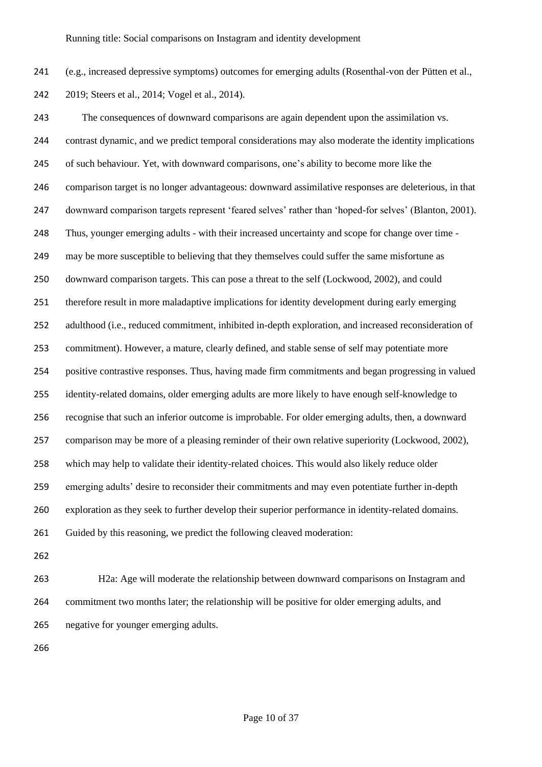(e.g., increased depressive symptoms) outcomes for emerging adults (Rosenthal-von der Pütten et al.,

2019; Steers et al., 2014; Vogel et al., 2014).

 The consequences of downward comparisons are again dependent upon the assimilation vs. contrast dynamic, and we predict temporal considerations may also moderate the identity implications of such behaviour. Yet, with downward comparisons, one's ability to become more like the comparison target is no longer advantageous: downward assimilative responses are deleterious, in that downward comparison targets represent 'feared selves' rather than 'hoped-for selves' (Blanton, 2001). Thus, younger emerging adults - with their increased uncertainty and scope for change over time - may be more susceptible to believing that they themselves could suffer the same misfortune as downward comparison targets. This can pose a threat to the self (Lockwood, 2002), and could therefore result in more maladaptive implications for identity development during early emerging adulthood (i.e., reduced commitment, inhibited in-depth exploration, and increased reconsideration of commitment). However, a mature, clearly defined, and stable sense of self may potentiate more positive contrastive responses. Thus, having made firm commitments and began progressing in valued identity-related domains, older emerging adults are more likely to have enough self-knowledge to recognise that such an inferior outcome is improbable. For older emerging adults, then, a downward comparison may be more of a pleasing reminder of their own relative superiority (Lockwood, 2002), which may help to validate their identity-related choices. This would also likely reduce older emerging adults' desire to reconsider their commitments and may even potentiate further in-depth exploration as they seek to further develop their superior performance in identity-related domains. Guided by this reasoning, we predict the following cleaved moderation:

 H2a: Age will moderate the relationship between downward comparisons on Instagram and commitment two months later; the relationship will be positive for older emerging adults, and negative for younger emerging adults.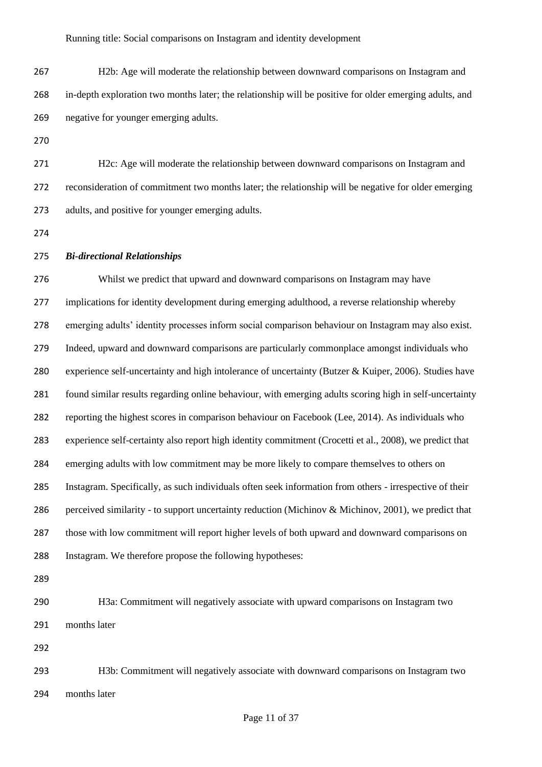- H2b: Age will moderate the relationship between downward comparisons on Instagram and in-depth exploration two months later; the relationship will be positive for older emerging adults, and negative for younger emerging adults.
- 

 H2c: Age will moderate the relationship between downward comparisons on Instagram and reconsideration of commitment two months later; the relationship will be negative for older emerging adults, and positive for younger emerging adults.

# *Bi-directional Relationships*

 Whilst we predict that upward and downward comparisons on Instagram may have implications for identity development during emerging adulthood, a reverse relationship whereby emerging adults' identity processes inform social comparison behaviour on Instagram may also exist. Indeed, upward and downward comparisons are particularly commonplace amongst individuals who experience self-uncertainty and high intolerance of uncertainty (Butzer & Kuiper, 2006). Studies have found similar results regarding online behaviour, with emerging adults scoring high in self-uncertainty reporting the highest scores in comparison behaviour on Facebook (Lee, 2014). As individuals who experience self-certainty also report high identity commitment (Crocetti et al., 2008), we predict that emerging adults with low commitment may be more likely to compare themselves to others on Instagram. Specifically, as such individuals often seek information from others - irrespective of their perceived similarity - to support uncertainty reduction (Michinov & Michinov, 2001), we predict that those with low commitment will report higher levels of both upward and downward comparisons on Instagram. We therefore propose the following hypotheses:

- H3a: Commitment will negatively associate with upward comparisons on Instagram two months later
- 

 H3b: Commitment will negatively associate with downward comparisons on Instagram two months later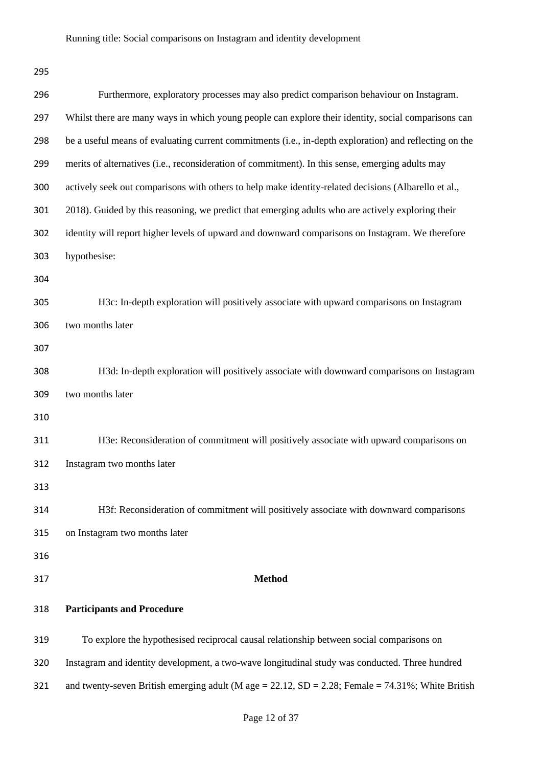| 296 | Furthermore, exploratory processes may also predict comparison behaviour on Instagram.                 |
|-----|--------------------------------------------------------------------------------------------------------|
| 297 | Whilst there are many ways in which young people can explore their identity, social comparisons can    |
| 298 | be a useful means of evaluating current commitments (i.e., in-depth exploration) and reflecting on the |
| 299 | merits of alternatives (i.e., reconsideration of commitment). In this sense, emerging adults may       |
| 300 | actively seek out comparisons with others to help make identity-related decisions (Albarello et al.,   |
| 301 | 2018). Guided by this reasoning, we predict that emerging adults who are actively exploring their      |
| 302 | identity will report higher levels of upward and downward comparisons on Instagram. We therefore       |
| 303 | hypothesise:                                                                                           |
| 304 |                                                                                                        |
| 305 | H3c: In-depth exploration will positively associate with upward comparisons on Instagram               |
| 306 | two months later                                                                                       |
| 307 |                                                                                                        |
| 308 | H3d: In-depth exploration will positively associate with downward comparisons on Instagram             |
| 309 | two months later                                                                                       |
| 310 |                                                                                                        |
| 311 | H3e: Reconsideration of commitment will positively associate with upward comparisons on                |
| 312 | Instagram two months later                                                                             |
| 313 |                                                                                                        |
| 314 | H3f: Reconsideration of commitment will positively associate with downward comparisons                 |
| 315 | on Instagram two months later                                                                          |
| 316 |                                                                                                        |
| 317 | <b>Method</b>                                                                                          |
| 318 | <b>Participants and Procedure</b>                                                                      |
| 319 | To explore the hypothesised reciprocal causal relationship between social comparisons on               |
| 320 | Instagram and identity development, a two-wave longitudinal study was conducted. Three hundred         |
| 321 | and twenty-seven British emerging adult (M age = 22.12, SD = 2.28; Female = $74.31\%$ ; White British  |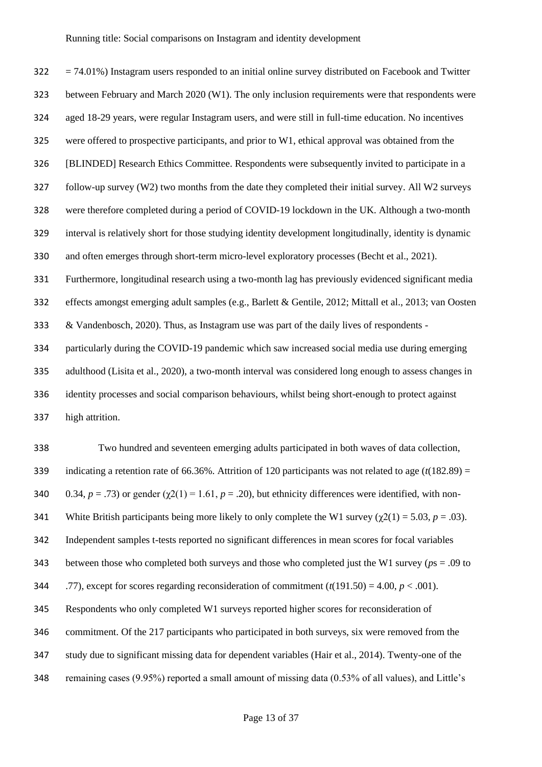$322 = 74.01\%$ ) Instagram users responded to an initial online survey distributed on Facebook and Twitter between February and March 2020 (W1). The only inclusion requirements were that respondents were aged 18-29 years, were regular Instagram users, and were still in full-time education. No incentives were offered to prospective participants, and prior to W1, ethical approval was obtained from the [BLINDED] Research Ethics Committee. Respondents were subsequently invited to participate in a follow-up survey (W2) two months from the date they completed their initial survey. All W2 surveys were therefore completed during a period of COVID-19 lockdown in the UK. Although a two-month interval is relatively short for those studying identity development longitudinally, identity is dynamic and often emerges through short-term micro-level exploratory processes (Becht et al., 2021). Furthermore, longitudinal research using a two-month lag has previously evidenced significant media effects amongst emerging adult samples (e.g., Barlett & Gentile, 2012; Mittall et al., 2013; van Oosten & Vandenbosch, 2020). Thus, as Instagram use was part of the daily lives of respondents - particularly during the COVID-19 pandemic which saw increased social media use during emerging adulthood (Lisita et al., 2020), a two-month interval was considered long enough to assess changes in identity processes and social comparison behaviours, whilst being short-enough to protect against

high attrition.

 Two hundred and seventeen emerging adults participated in both waves of data collection, indicating a retention rate of 66.36%. Attrition of 120 participants was not related to age (*t*(182.89) = 340 0.34,  $p = .73$ ) or gender ( $\gamma$ 2(1) = 1.61,  $p = .20$ ), but ethnicity differences were identified, with non-341 White British participants being more likely to only complete the W1 survey  $(\chi(2)) = 5.03$ ,  $p = .03$ ). Independent samples t-tests reported no significant differences in mean scores for focal variables between those who completed both surveys and those who completed just the W1 survey (*p*s = .09 to 344 .77), except for scores regarding reconsideration of commitment  $(t(191.50) = 4.00, p < .001)$ . Respondents who only completed W1 surveys reported higher scores for reconsideration of commitment. Of the 217 participants who participated in both surveys, six were removed from the study due to significant missing data for dependent variables (Hair et al., 2014). Twenty-one of the remaining cases (9.95%) reported a small amount of missing data (0.53% of all values), and Little's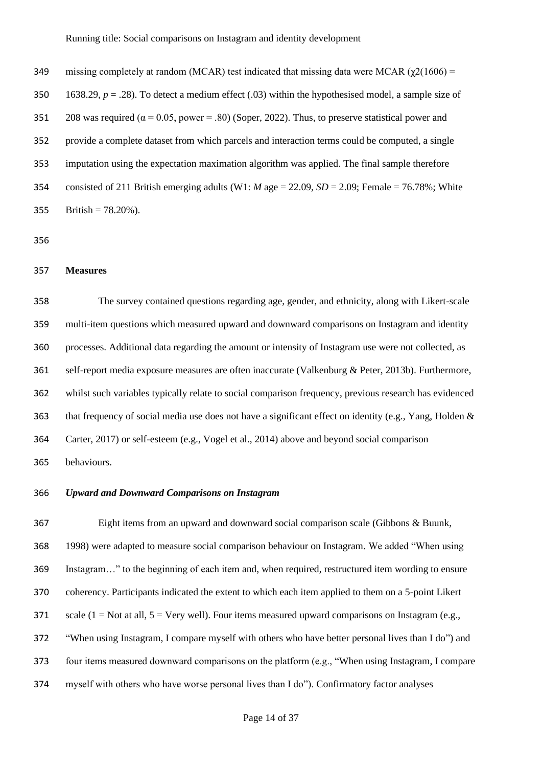| 349 | missing completely at random (MCAR) test indicated that missing data were MCAR ( $\gamma$ 2(1606) =          |
|-----|--------------------------------------------------------------------------------------------------------------|
| 350 | 1638.29, $p = .28$ ). To detect a medium effect (.03) within the hypothesised model, a sample size of        |
| 351 | 208 was required ( $\alpha$ = 0.05, power = .80) (Soper, 2022). Thus, to preserve statistical power and      |
| 352 | provide a complete dataset from which parcels and interaction terms could be computed, a single              |
| 353 | imputation using the expectation maximation algorithm was applied. The final sample therefore                |
| 354 | consisted of 211 British emerging adults (W1: <i>M</i> age = 22.09, <i>SD</i> = 2.09; Female = 76.78%; White |
| 355 | British = $78.20\%$ ).                                                                                       |

# **Measures**

 The survey contained questions regarding age, gender, and ethnicity, along with Likert-scale multi-item questions which measured upward and downward comparisons on Instagram and identity processes. Additional data regarding the amount or intensity of Instagram use were not collected, as self-report media exposure measures are often inaccurate (Valkenburg & Peter, 2013b). Furthermore, whilst such variables typically relate to social comparison frequency, previous research has evidenced 363 that frequency of social media use does not have a significant effect on identity (e.g., Yang, Holden & Carter, 2017) or self-esteem (e.g., Vogel et al., 2014) above and beyond social comparison behaviours.

# *Upward and Downward Comparisons on Instagram*

 Eight items from an upward and downward social comparison scale (Gibbons & Buunk, 1998) were adapted to measure social comparison behaviour on Instagram. We added "When using Instagram…" to the beginning of each item and, when required, restructured item wording to ensure coherency. Participants indicated the extent to which each item applied to them on a 5-point Likert 371 scale (1 = Not at all,  $5 =$  Very well). Four items measured upward comparisons on Instagram (e.g., "When using Instagram, I compare myself with others who have better personal lives than I do") and four items measured downward comparisons on the platform (e.g., "When using Instagram, I compare myself with others who have worse personal lives than I do"). Confirmatory factor analyses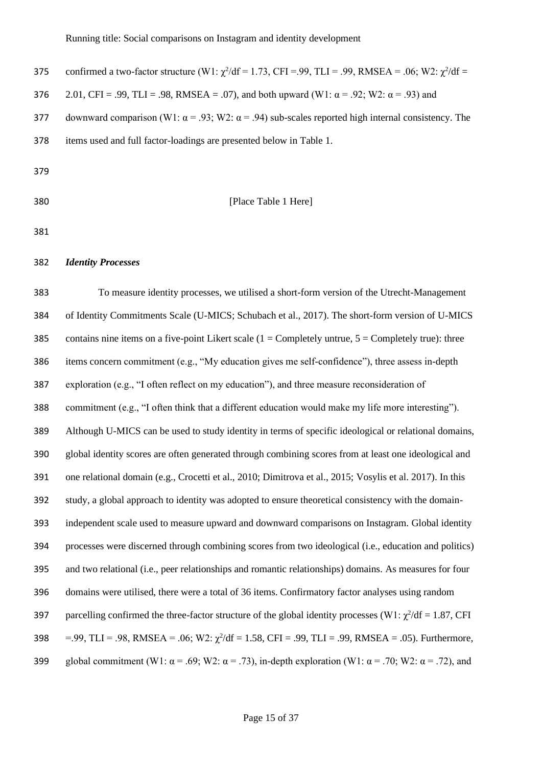| 375 | confirmed a two-factor structure (W1: $\chi^2$ /df = 1.73, CFI = 99, TLI = 99, RMSEA = 0.06; W2: $\chi^2$ /df = |
|-----|-----------------------------------------------------------------------------------------------------------------|
| 376 | 2.01, CFI = .99, TLI = .98, RMSEA = .07), and both upward (W1: $\alpha$ = .92; W2: $\alpha$ = .93) and          |
| 377 | downward comparison (W1: $\alpha$ = .93; W2: $\alpha$ = .94) sub-scales reported high internal consistency. The |
| 378 | items used and full factor-loadings are presented below in Table 1.                                             |
| 379 |                                                                                                                 |

### **[Place Table 1 Here]**

#### *Identity Processes*

 To measure identity processes, we utilised a short-form version of the Utrecht-Management of Identity Commitments Scale (U-MICS; Schubach et al., 2017). The short-form version of U-MICS 385 contains nine items on a five-point Likert scale ( $1 =$  Completely untrue,  $5 =$  Completely true): three items concern commitment (e.g., "My education gives me self-confidence"), three assess in-depth exploration (e.g., "I often reflect on my education"), and three measure reconsideration of commitment (e.g., "I often think that a different education would make my life more interesting"). Although U-MICS can be used to study identity in terms of specific ideological or relational domains, global identity scores are often generated through combining scores from at least one ideological and one relational domain (e.g., Crocetti et al., 2010; Dimitrova et al., 2015; Vosylis et al. 2017). In this study, a global approach to identity was adopted to ensure theoretical consistency with the domain- independent scale used to measure upward and downward comparisons on Instagram. Global identity processes were discerned through combining scores from two ideological (i.e., education and politics) and two relational (i.e., peer relationships and romantic relationships) domains. As measures for four domains were utilised, there were a total of 36 items. Confirmatory factor analyses using random 397 parcelling confirmed the three-factor structure of the global identity processes (W1:  $\gamma^2/df = 1.87$ , CFI  $= .99, \text{T}LI = .98, \text{RMSEA} = .06; \text{W2}: \gamma^2/\text{df} = 1.58, \text{CFI} = .99, \text{T}LI = .99, \text{RMSEA} = .05$ ). Furthermore, 399 global commitment (W1:  $\alpha$  = .69; W2:  $\alpha$  = .73), in-depth exploration (W1:  $\alpha$  = .70; W2:  $\alpha$  = .72), and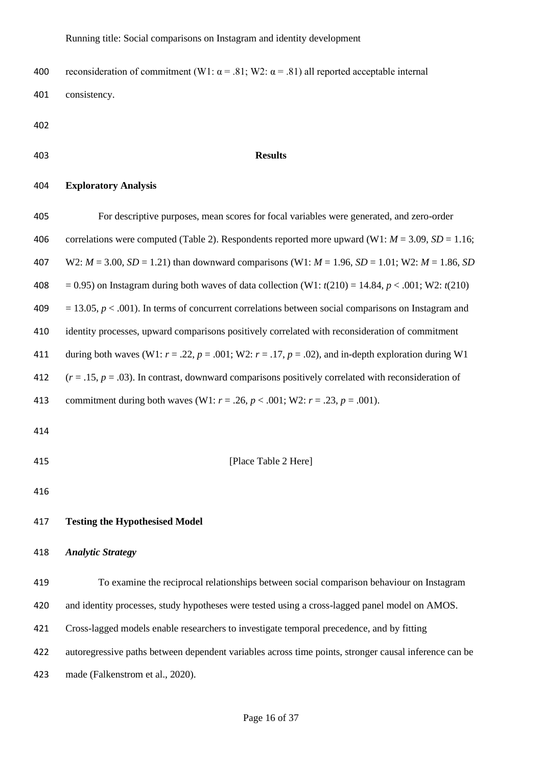400 reconsideration of commitment (W1:  $\alpha$  = .81; W2:  $\alpha$  = .81) all reported acceptable internal consistency.

- 
- 

# **Results**

# **Exploratory Analysis**

| 405 | For descriptive purposes, mean scores for focal variables were generated, and zero-order                         |
|-----|------------------------------------------------------------------------------------------------------------------|
| 406 | correlations were computed (Table 2). Respondents reported more upward (W1: $M = 3.09$ , SD = 1.16;              |
| 407 | W2: $M = 3.00$ , $SD = 1.21$ ) than downward comparisons (W1: $M = 1.96$ , $SD = 1.01$ ; W2: $M = 1.86$ , SD     |
| 408 | $= 0.95$ ) on Instagram during both waves of data collection (W1: $t(210) = 14.84$ , $p < .001$ ; W2: $t(210)$ ) |
| 409 | $= 13.05, p < .001$ ). In terms of concurrent correlations between social comparisons on Instagram and           |
| 410 | identity processes, upward comparisons positively correlated with reconsideration of commitment                  |
| 411 | during both waves (W1: $r = .22$ , $p = .001$ ; W2: $r = .17$ , $p = .02$ ), and in-depth exploration during W1  |
| 412 | $(r = .15, p = .03)$ . In contrast, downward comparisons positively correlated with reconsideration of           |
| 413 | commitment during both waves (W1: $r = .26$ , $p < .001$ ; W2: $r = .23$ , $p = .001$ ).                         |
| 414 |                                                                                                                  |
| 415 | [Place Table 2 Here]                                                                                             |

# **Testing the Hypothesised Model**

#### *Analytic Strategy*

 To examine the reciprocal relationships between social comparison behaviour on Instagram and identity processes, study hypotheses were tested using a cross-lagged panel model on AMOS. Cross-lagged models enable researchers to investigate temporal precedence, and by fitting autoregressive paths between dependent variables across time points, stronger causal inference can be made (Falkenstrom et al., 2020).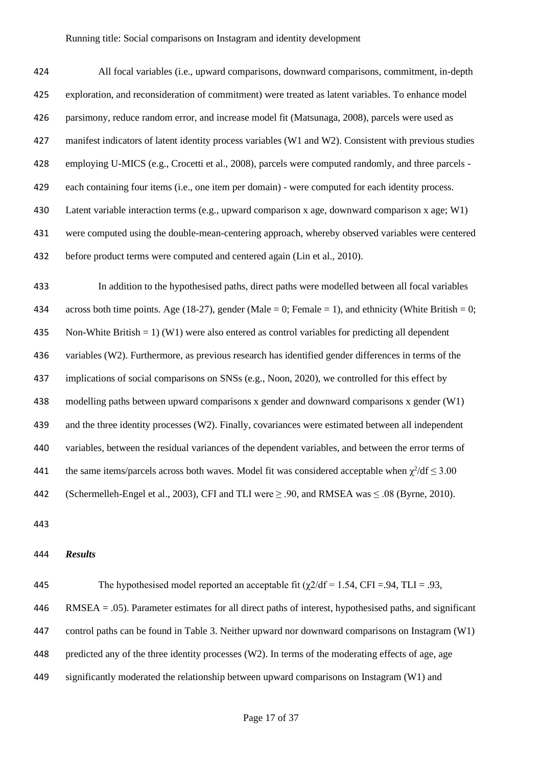| 424 | All focal variables (i.e., upward comparisons, downward comparisons, commitment, in-depth              |
|-----|--------------------------------------------------------------------------------------------------------|
| 425 | exploration, and reconsideration of commitment) were treated as latent variables. To enhance model     |
| 426 | parsimony, reduce random error, and increase model fit (Matsunaga, 2008), parcels were used as         |
| 427 | manifest indicators of latent identity process variables (W1 and W2). Consistent with previous studies |
| 428 | employing U-MICS (e.g., Crocetti et al., 2008), parcels were computed randomly, and three parcels -    |
| 429 | each containing four items (i.e., one item per domain) - were computed for each identity process.      |
| 430 | Latent variable interaction terms (e.g., upward comparison x age, downward comparison x age; $W1$ )    |
| 431 | were computed using the double-mean-centering approach, whereby observed variables were centered       |
| 432 | before product terms were computed and centered again (Lin et al., 2010).                              |

 In addition to the hypothesised paths, direct paths were modelled between all focal variables 434 across both time points. Age (18-27), gender (Male = 0; Female = 1), and ethnicity (White British = 0; Non-White British = 1) (W1) were also entered as control variables for predicting all dependent variables (W2). Furthermore, as previous research has identified gender differences in terms of the implications of social comparisons on SNSs (e.g., Noon, 2020), we controlled for this effect by modelling paths between upward comparisons x gender and downward comparisons x gender (W1) and the three identity processes (W2). Finally, covariances were estimated between all independent variables, between the residual variances of the dependent variables, and between the error terms of 441 the same items/parcels across both waves. Model fit was considered acceptable when  $\chi^2/df \leq 3.00$ (Schermelleh-Engel et al., 2003), CFI and TLI were ≥ .90, and RMSEA was ≤ .08 (Byrne, 2010).

## *Results*

445 The hypothesised model reported an acceptable fit  $(\gamma 2/df = 1.54$ , CFI = 94, TLI = .93, RMSEA = .05). Parameter estimates for all direct paths of interest, hypothesised paths, and significant control paths can be found in Table 3. Neither upward nor downward comparisons on Instagram (W1) predicted any of the three identity processes (W2). In terms of the moderating effects of age, age significantly moderated the relationship between upward comparisons on Instagram (W1) and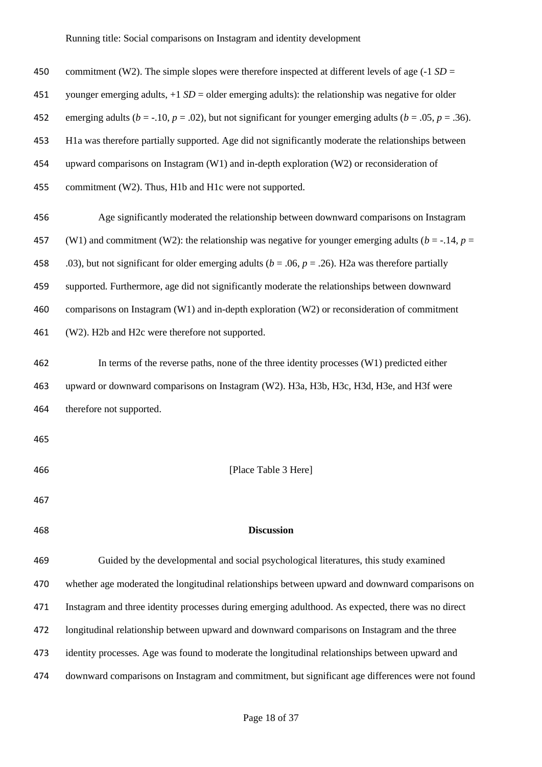| 450 | commitment (W2). The simple slopes were therefore inspected at different levels of age $(-1 SD =$                        |  |  |  |  |
|-----|--------------------------------------------------------------------------------------------------------------------------|--|--|--|--|
| 451 | younger emerging adults, $+1 SD =$ older emerging adults): the relationship was negative for older                       |  |  |  |  |
| 452 | emerging adults ( $b = -10$ , $p = 0.02$ ), but not significant for younger emerging adults ( $b = 0.05$ , $p = 0.36$ ). |  |  |  |  |
| 453 | H1a was therefore partially supported. Age did not significantly moderate the relationships between                      |  |  |  |  |
| 454 | upward comparisons on Instagram (W1) and in-depth exploration (W2) or reconsideration of                                 |  |  |  |  |
| 455 | commitment (W2). Thus, H1b and H1c were not supported.                                                                   |  |  |  |  |
| 456 | Age significantly moderated the relationship between downward comparisons on Instagram                                   |  |  |  |  |
| 457 | (W1) and commitment (W2): the relationship was negative for younger emerging adults ( $b = -14$ , $p =$                  |  |  |  |  |
| 458 | .03), but not significant for older emerging adults ( $b = .06$ , $p = .26$ ). H2a was therefore partially               |  |  |  |  |
| 459 | supported. Furthermore, age did not significantly moderate the relationships between downward                            |  |  |  |  |
| 460 | comparisons on Instagram (W1) and in-depth exploration (W2) or reconsideration of commitment                             |  |  |  |  |
| 461 | (W2). H2b and H2c were therefore not supported.                                                                          |  |  |  |  |
| 462 | In terms of the reverse paths, none of the three identity processes (W1) predicted either                                |  |  |  |  |
| 463 | upward or downward comparisons on Instagram (W2). H3a, H3b, H3c, H3d, H3e, and H3f were                                  |  |  |  |  |
| 464 | therefore not supported.                                                                                                 |  |  |  |  |
| 465 |                                                                                                                          |  |  |  |  |
| 466 | [Place Table 3 Here]                                                                                                     |  |  |  |  |
| 467 |                                                                                                                          |  |  |  |  |
| 468 | <b>Discussion</b>                                                                                                        |  |  |  |  |
| 469 | Guided by the developmental and social psychological literatures, this study examined                                    |  |  |  |  |
| 470 | whether age moderated the longitudinal relationships between upward and downward comparisons on                          |  |  |  |  |
| 471 | Instagram and three identity processes during emerging adulthood. As expected, there was no direct                       |  |  |  |  |
| 472 | longitudinal relationship between upward and downward comparisons on Instagram and the three                             |  |  |  |  |
| 473 | identity processes. Age was found to moderate the longitudinal relationships between upward and                          |  |  |  |  |
| 474 | downward comparisons on Instagram and commitment, but significant age differences were not found                         |  |  |  |  |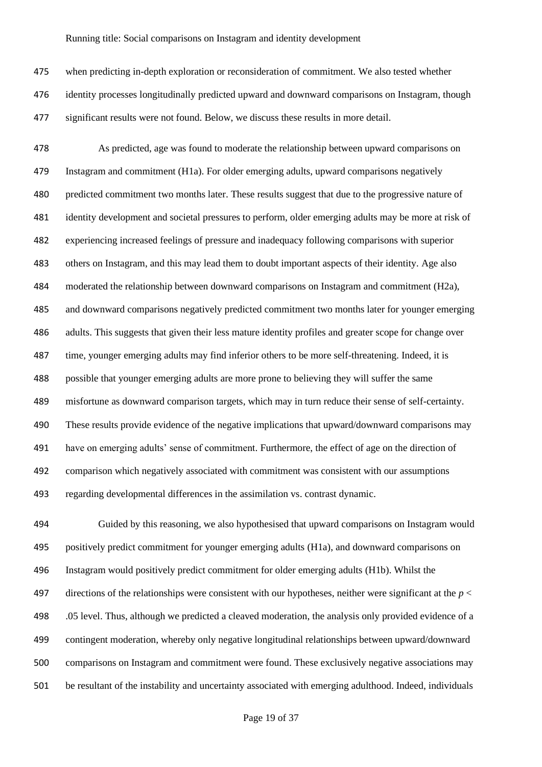when predicting in-depth exploration or reconsideration of commitment. We also tested whether identity processes longitudinally predicted upward and downward comparisons on Instagram, though significant results were not found. Below, we discuss these results in more detail.

 As predicted, age was found to moderate the relationship between upward comparisons on Instagram and commitment (H1a). For older emerging adults, upward comparisons negatively predicted commitment two months later. These results suggest that due to the progressive nature of identity development and societal pressures to perform, older emerging adults may be more at risk of experiencing increased feelings of pressure and inadequacy following comparisons with superior others on Instagram, and this may lead them to doubt important aspects of their identity. Age also moderated the relationship between downward comparisons on Instagram and commitment (H2a), and downward comparisons negatively predicted commitment two months later for younger emerging adults. This suggests that given their less mature identity profiles and greater scope for change over time, younger emerging adults may find inferior others to be more self-threatening. Indeed, it is possible that younger emerging adults are more prone to believing they will suffer the same misfortune as downward comparison targets, which may in turn reduce their sense of self-certainty. These results provide evidence of the negative implications that upward/downward comparisons may have on emerging adults' sense of commitment. Furthermore, the effect of age on the direction of comparison which negatively associated with commitment was consistent with our assumptions regarding developmental differences in the assimilation vs. contrast dynamic.

 Guided by this reasoning, we also hypothesised that upward comparisons on Instagram would positively predict commitment for younger emerging adults (H1a), and downward comparisons on Instagram would positively predict commitment for older emerging adults (H1b). Whilst the 497 directions of the relationships were consistent with our hypotheses, neither were significant at the  $p <$  .05 level. Thus, although we predicted a cleaved moderation, the analysis only provided evidence of a contingent moderation, whereby only negative longitudinal relationships between upward/downward comparisons on Instagram and commitment were found. These exclusively negative associations may be resultant of the instability and uncertainty associated with emerging adulthood. Indeed, individuals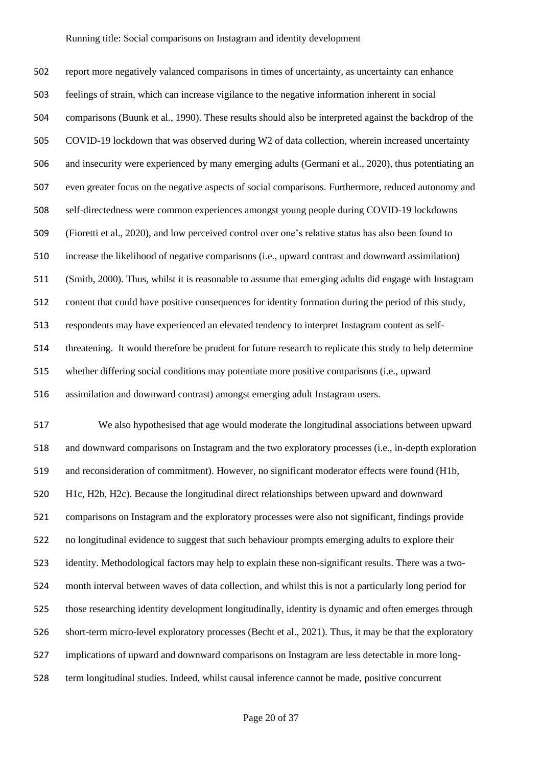report more negatively valanced comparisons in times of uncertainty, as uncertainty can enhance feelings of strain, which can increase vigilance to the negative information inherent in social comparisons (Buunk et al., 1990). These results should also be interpreted against the backdrop of the COVID-19 lockdown that was observed during W2 of data collection, wherein increased uncertainty and insecurity were experienced by many emerging adults (Germani et al., 2020), thus potentiating an even greater focus on the negative aspects of social comparisons. Furthermore, reduced autonomy and self-directedness were common experiences amongst young people during COVID-19 lockdowns (Fioretti et al., 2020), and low perceived control over one's relative status has also been found to increase the likelihood of negative comparisons (i.e., upward contrast and downward assimilation) (Smith, 2000). Thus, whilst it is reasonable to assume that emerging adults did engage with Instagram content that could have positive consequences for identity formation during the period of this study, respondents may have experienced an elevated tendency to interpret Instagram content as self- threatening. It would therefore be prudent for future research to replicate this study to help determine whether differing social conditions may potentiate more positive comparisons (i.e., upward assimilation and downward contrast) amongst emerging adult Instagram users.

 We also hypothesised that age would moderate the longitudinal associations between upward and downward comparisons on Instagram and the two exploratory processes (i.e., in-depth exploration and reconsideration of commitment). However, no significant moderator effects were found (H1b, H1c, H2b, H2c). Because the longitudinal direct relationships between upward and downward comparisons on Instagram and the exploratory processes were also not significant, findings provide no longitudinal evidence to suggest that such behaviour prompts emerging adults to explore their identity. Methodological factors may help to explain these non-significant results. There was a two- month interval between waves of data collection, and whilst this is not a particularly long period for those researching identity development longitudinally, identity is dynamic and often emerges through short-term micro-level exploratory processes (Becht et al., 2021). Thus, it may be that the exploratory implications of upward and downward comparisons on Instagram are less detectable in more long-term longitudinal studies. Indeed, whilst causal inference cannot be made, positive concurrent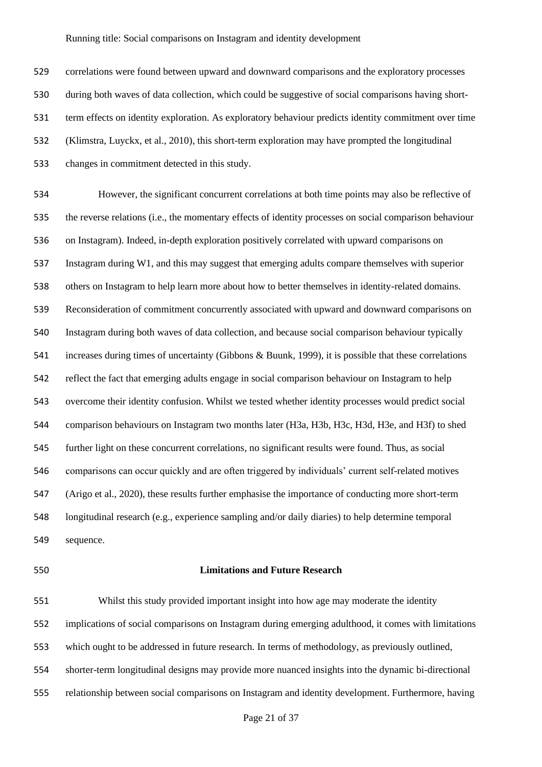correlations were found between upward and downward comparisons and the exploratory processes during both waves of data collection, which could be suggestive of social comparisons having short- term effects on identity exploration. As exploratory behaviour predicts identity commitment over time (Klimstra, Luyckx, et al., 2010), this short-term exploration may have prompted the longitudinal changes in commitment detected in this study.

 However, the significant concurrent correlations at both time points may also be reflective of the reverse relations (i.e., the momentary effects of identity processes on social comparison behaviour on Instagram). Indeed, in-depth exploration positively correlated with upward comparisons on Instagram during W1, and this may suggest that emerging adults compare themselves with superior others on Instagram to help learn more about how to better themselves in identity-related domains. Reconsideration of commitment concurrently associated with upward and downward comparisons on Instagram during both waves of data collection, and because social comparison behaviour typically increases during times of uncertainty (Gibbons & Buunk, 1999), it is possible that these correlations reflect the fact that emerging adults engage in social comparison behaviour on Instagram to help overcome their identity confusion. Whilst we tested whether identity processes would predict social comparison behaviours on Instagram two months later (H3a, H3b, H3c, H3d, H3e, and H3f) to shed further light on these concurrent correlations, no significant results were found. Thus, as social comparisons can occur quickly and are often triggered by individuals' current self-related motives (Arigo et al., 2020), these results further emphasise the importance of conducting more short-term longitudinal research (e.g., experience sampling and/or daily diaries) to help determine temporal sequence.

#### **Limitations and Future Research**

 Whilst this study provided important insight into how age may moderate the identity implications of social comparisons on Instagram during emerging adulthood, it comes with limitations which ought to be addressed in future research. In terms of methodology, as previously outlined, shorter-term longitudinal designs may provide more nuanced insights into the dynamic bi-directional relationship between social comparisons on Instagram and identity development. Furthermore, having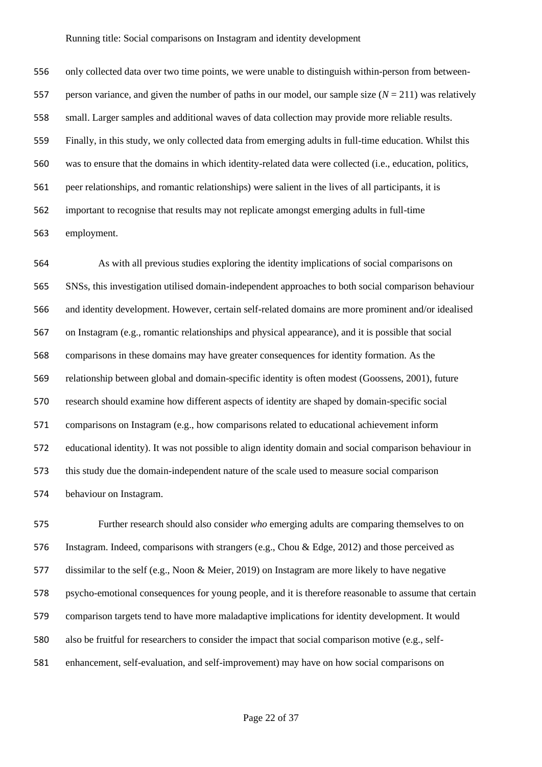only collected data over two time points, we were unable to distinguish within-person from between- person variance, and given the number of paths in our model, our sample size (*N* = 211) was relatively small. Larger samples and additional waves of data collection may provide more reliable results. Finally, in this study, we only collected data from emerging adults in full-time education. Whilst this was to ensure that the domains in which identity-related data were collected (i.e., education, politics, peer relationships, and romantic relationships) were salient in the lives of all participants, it is important to recognise that results may not replicate amongst emerging adults in full-time employment.

 As with all previous studies exploring the identity implications of social comparisons on SNSs, this investigation utilised domain-independent approaches to both social comparison behaviour and identity development. However, certain self-related domains are more prominent and/or idealised on Instagram (e.g., romantic relationships and physical appearance), and it is possible that social comparisons in these domains may have greater consequences for identity formation. As the relationship between global and domain-specific identity is often modest (Goossens, 2001), future research should examine how different aspects of identity are shaped by domain-specific social comparisons on Instagram (e.g., how comparisons related to educational achievement inform educational identity). It was not possible to align identity domain and social comparison behaviour in this study due the domain-independent nature of the scale used to measure social comparison behaviour on Instagram.

 Further research should also consider *who* emerging adults are comparing themselves to on Instagram. Indeed, comparisons with strangers (e.g., Chou & Edge, 2012) and those perceived as dissimilar to the self (e.g., Noon & Meier, 2019) on Instagram are more likely to have negative psycho-emotional consequences for young people, and it is therefore reasonable to assume that certain comparison targets tend to have more maladaptive implications for identity development. It would also be fruitful for researchers to consider the impact that social comparison motive (e.g., self-enhancement, self-evaluation, and self-improvement) may have on how social comparisons on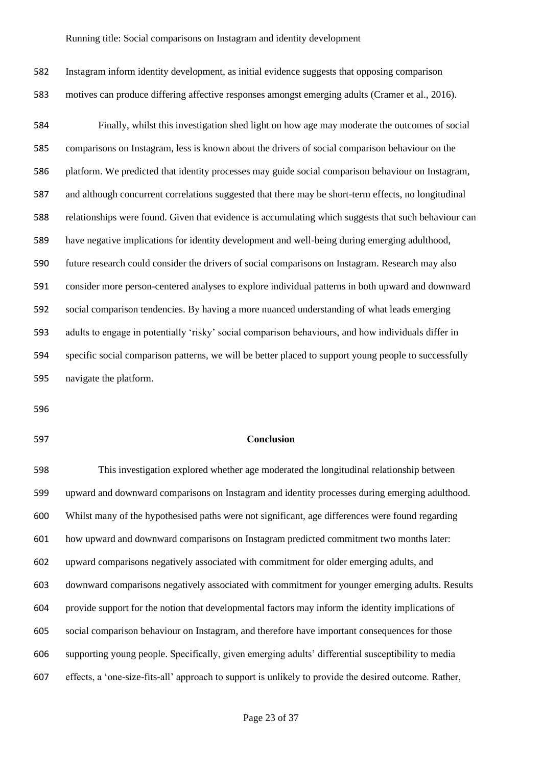Instagram inform identity development, as initial evidence suggests that opposing comparison motives can produce differing affective responses amongst emerging adults (Cramer et al., 2016). Finally, whilst this investigation shed light on how age may moderate the outcomes of social comparisons on Instagram, less is known about the drivers of social comparison behaviour on the platform. We predicted that identity processes may guide social comparison behaviour on Instagram, and although concurrent correlations suggested that there may be short-term effects, no longitudinal relationships were found. Given that evidence is accumulating which suggests that such behaviour can have negative implications for identity development and well-being during emerging adulthood, future research could consider the drivers of social comparisons on Instagram. Research may also consider more person-centered analyses to explore individual patterns in both upward and downward social comparison tendencies. By having a more nuanced understanding of what leads emerging adults to engage in potentially 'risky' social comparison behaviours, and how individuals differ in specific social comparison patterns, we will be better placed to support young people to successfully navigate the platform.

- 
- 

### **Conclusion**

 This investigation explored whether age moderated the longitudinal relationship between upward and downward comparisons on Instagram and identity processes during emerging adulthood. Whilst many of the hypothesised paths were not significant, age differences were found regarding how upward and downward comparisons on Instagram predicted commitment two months later: upward comparisons negatively associated with commitment for older emerging adults, and downward comparisons negatively associated with commitment for younger emerging adults. Results provide support for the notion that developmental factors may inform the identity implications of social comparison behaviour on Instagram, and therefore have important consequences for those supporting young people. Specifically, given emerging adults' differential susceptibility to media effects, a 'one-size-fits-all' approach to support is unlikely to provide the desired outcome. Rather,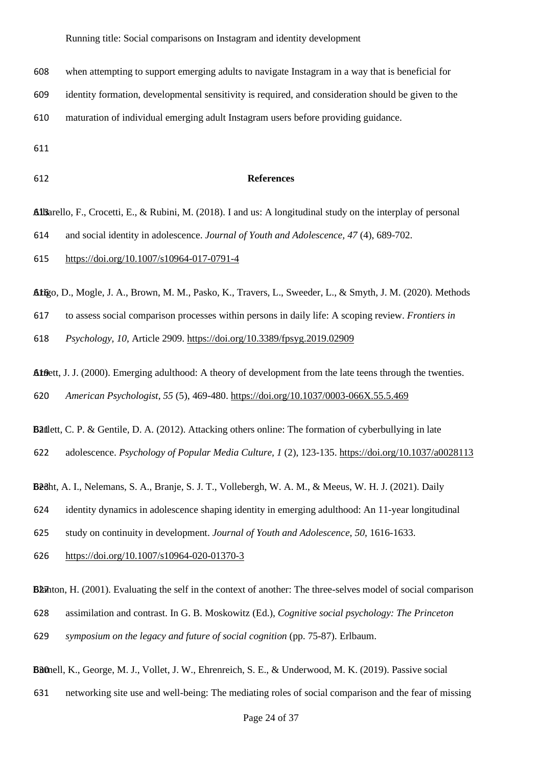- when attempting to support emerging adults to navigate Instagram in a way that is beneficial for
- identity formation, developmental sensitivity is required, and consideration should be given to the
- maturation of individual emerging adult Instagram users before providing guidance.

#### **References**

**Albarello, F., Crocetti, E., & Rubini, M. (2018).** I and us: A longitudinal study on the interplay of personal

and social identity in adolescence. *Journal of Youth and Adolescence, 47* (4), 689-702.

- <https://doi.org/10.1007/s10964-017-0791-4>
- Arigo, D., Mogle, J. A., Brown, M. M., Pasko, K., Travers, L., Sweeder, L., & Smyth, J. M. (2020). Methods 616
- to assess social comparison processes within persons in daily life: A scoping review. *Frontiers in*

*Psychology, 10,* Article 2909.<https://doi.org/10.3389/fpsyg.2019.02909>

At Bett, J. J. (2000). Emerging adulthood: A theory of development from the late teens through the twenties.

*American Psychologist, 55* (5), 469-480.<https://doi.org/10.1037/0003-066X.55.5.469>

**Batlett, C. P. & Gentile, D. A.** (2012). Attacking others online: The formation of cyberbullying in late

adolescence. *Psychology of Popular Media Culture, 1* (2), 123-135.<https://doi.org/10.1037/a0028113>

Becht, A. I., Nelemans, S. A., Branje, S. J. T., Vollebergh, W. A. M., & Meeus, W. H. J. (2021). Daily

identity dynamics in adolescence shaping identity in emerging adulthood: An 11-year longitudinal

study on continuity in development. *Journal of Youth and Adolescence*, *50*, 1616-1633.

<https://doi.org/10.1007/s10964-020-01370-3>

Blanton, H. (2001). Evaluating the self in the context of another: The three-selves model of social comparison

- assimilation and contrast. In G. B. Moskowitz (Ed.), *Cognitive social psychology: The Princeton*
- *symposium on the legacy and future of social cognition* (pp. 75-87). Erlbaum.

Burnell, K., George, M. J., Vollet, J. W., Ehrenreich, S. E., & Underwood, M. K. (2019). Passive social

networking site use and well-being: The mediating roles of social comparison and the fear of missing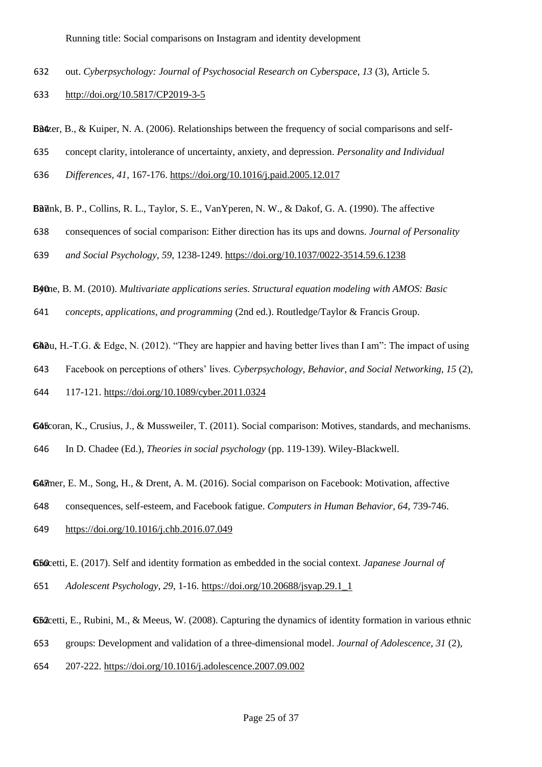- out. *Cyberpsychology: Journal of Psychosocial Research on Cyberspace, 13* (3), Article 5.
- <http://doi.org/10.5817/CP2019-3-5>

**BB** $\&$ er, B.,  $\&$  Kuiper, N. A. (2006). Relationships between the frequency of social comparisons and self-

- concept clarity, intolerance of uncertainty, anxiety, and depression. *Personality and Individual*
- *Differences, 41*, 167-176.<https://doi.org/10.1016/j.paid.2005.12.017>

Bunk, B. P., Collins, R. L., Taylor, S. E., VanYperen, N. W., & Dakof, G. A. (1990). The affective

consequences of social comparison: Either direction has its ups and downs. *Journal of Personality* 

*and Social Psychology, 59*, 1238-1249. <https://doi.org/10.1037/0022-3514.59.6.1238>

Byrne, B. M. (2010). 640 *Multivariate applications series. Structural equation modeling with AMOS: Basic* 

*concepts, applications, and programming* (2nd ed.). Routledge/Taylor & Francis Group.

**GA** $\partial u$ , H.-T.G. & Edge, N. (2012). "They are happier and having better lives than I am": The impact of using

Facebook on perceptions of others' lives. *Cyberpsychology, Behavior, and Social Networking, 15* (2),

117-121.<https://doi.org/10.1089/cyber.2011.0324>

 coran, K., Crusius, J., & Mussweiler, T. (2011). Social comparison: Motives, standards, and mechanisms. In D. Chadee (Ed.), *Theories in social psychology* (pp. 119-139). Wiley-Blackwell.

GA<sub>2</sub> mer, E. M., Song, H., & Drent, A. M. (2016). Social comparison on Facebook: Motivation, affective

consequences, self-esteem, and Facebook fatigue. *Computers in Human Behavior, 64*, 739-746.

<https://doi.org/10.1016/j.chb.2016.07.049>

 cetti, E. (2017). Self and identity formation as embedded in the social context. *Japanese Journal of Adolescent Psychology, 29*, 1-16. [https://doi.org/10.20688/jsyap.29.1\\_1](https://doi.org/10.20688/jsyap.29.1_1)

**G52** cetti, E., Rubini, M., & Meeus, W. (2008). Capturing the dynamics of identity formation in various ethnic

groups: Development and validation of a three-dimensional model. *Journal of Adolescence, 31* (2),

207-222.<https://doi.org/10.1016/j.adolescence.2007.09.002>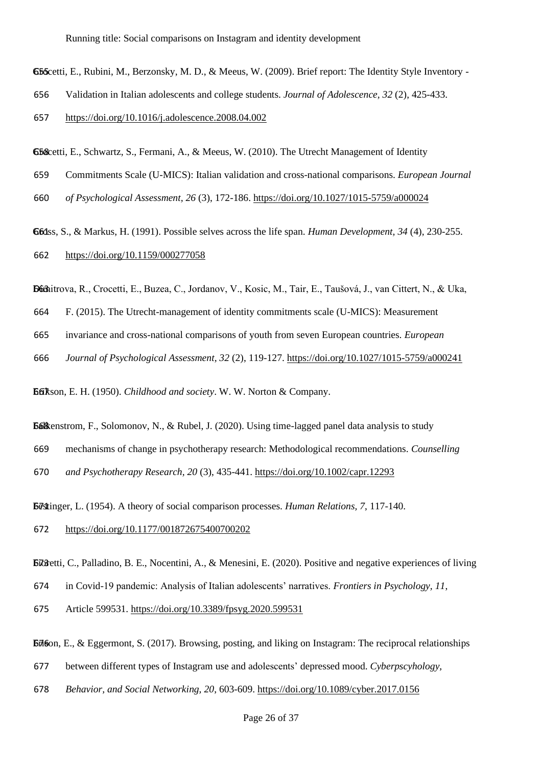G5 Scetti, E., Rubini, M., Berzonsky, M. D., & Meeus, W. (2009). Brief report: The Identity Style Inventory -

- Validation in Italian adolescents and college students. *Journal of Adolescence, 32* (2), 425-433.
- <https://doi.org/10.1016/j.adolescence.2008.04.002>
- G5&cetti, E., Schwartz, S., Fermani, A., & Meeus, W. (2010). The Utrecht Management of Identity
- Commitments Scale (U-MICS): Italian validation and cross-national comparisons. *European Journal*
- *of Psychological Assessment, 26* (3), 172-186.<https://doi.org/10.1027/1015-5759/a000024>

ss, S., & Markus, H. (1991). Possible selves across the life span. *Human Development, 34* (4), 230-255. <https://doi.org/10.1159/000277058>

Dimitrova, R., Crocetti, E., Buzea, C., Jordanov, V., Kosic, M., Tair, E., Taušová, J., van Cittert, N., & Uka,

- F. (2015). The Utrecht-management of identity commitments scale (U-MICS): Measurement
- invariance and cross-national comparisons of youth from seven European countries. *European*
- *Journal of Psychological Assessment, 32* (2), 119-127.<https://doi.org/10.1027/1015-5759/a000241>

Efikson, E. H. (1950). *Childhood and society*. W. W. Norton & Company.

- **Falk**enstrom, F., Solomonov, N., & Rubel, J. (2020). Using time-lagged panel data analysis to study
- mechanisms of change in psychotherapy research: Methodological recommendations. *Counselling*

*and Psychotherapy Research, 20* (3), 435-441.<https://doi.org/10.1002/capr.12293>

**Festinger, L.** (1954). A theory of social comparison processes. *Human Relations*, 7, 117-140.

- <https://doi.org/10.1177/001872675400700202>
- **Ei**Osetti, C., Palladino, B. E., Nocentini, A., & Menesini, E. (2020). Positive and negative experiences of living
- in Covid-19 pandemic: Analysis of Italian adolescents' narratives. *Frontiers in Psychology, 11*,
- Article 599531.<https://doi.org/10.3389/fpsyg.2020.599531>

 $\overline{\text{E}}\vec{\mu}$  60 , E., & Eggermont, S. (2017). Browsing, posting, and liking on Instagram: The reciprocal relationships

- between different types of Instagram use and adolescents' depressed mood. *Cyberpscyhology,*
- *Behavior, and Social Networking, 20*, 603-609.<https://doi.org/10.1089/cyber.2017.0156>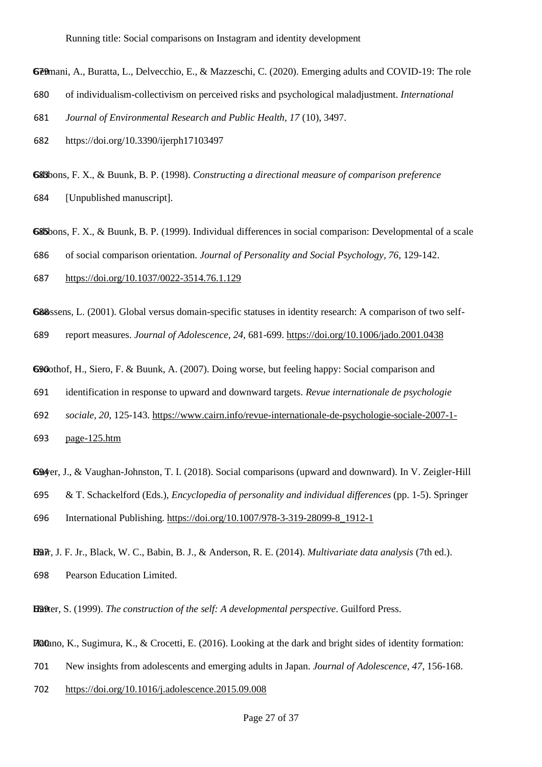Gemani, A., Buratta, L., Delvecchio, E., & Mazzeschi, C. (2020). Emerging adults and COVID-19: The role

680 of individualism-collectivism on perceived risks and psychological maladjustment. *International* 

681 *Journal of Environmental Research and Public Health, 17* (10), 3497.

682 https://doi.org/10.3390/ijerph17103497

**G&B**bons, F. X., & Buunk, B. P. (1998). Constructing a directional measure of comparison preference 684 [Unpublished manuscript].

G&Bbons, F. X., & Buunk, B. P. (1999). Individual differences in social comparison: Developmental of a scale

686 of social comparison orientation. *Journal of Personality and Social Psychology, 76*, 129-142.

687 <https://doi.org/10.1037/0022-3514.76.1.129>

G&Sssens, L. (2001). Global versus domain-specific statuses in identity research: A comparison of two self-689 report measures. *Journal of Adolescence, 24*, 681-699.<https://doi.org/10.1006/jado.2001.0438>

Girlbothof, H., Siero, F. & Buunk, A. (2007). Doing worse, but feeling happy: Social comparison and

691 identification in response to upward and downward targets. *Revue internationale de psychologie* 

692 *sociale, 20*, 125-143. [https://www.cairn.info/revue-internationale-de-psychologie-sociale-2007-1-](https://www.cairn.info/revue-internationale-de-psychologie-sociale-2007-1-page-125.htm)

693 [page-125.htm](https://www.cairn.info/revue-internationale-de-psychologie-sociale-2007-1-page-125.htm)

G94 er, J., & Vaughan-Johnston, T. I. (2018). Social comparisons (upward and downward). In V. Zeigler-Hill

695 & T. Schackelford (Eds.), *Encyclopedia of personality and individual differences* (pp. 1-5). Springer

696 International Publishing. [https://doi.org/10.1007/978-3-319-28099-8\\_1912-1](https://doi.org/10.1007/978-3-319-28099-8_1912-1)

Hair, J. F. Jr., Black, W. C., Babin 697 , B. J., & Anderson, R. E. (2014). *Multivariate data analysis* (7th ed.). 698 Pearson Education Limited.

**Hatter, S. (1999).** The construction of the self: A developmental perspective. Guilford Press.

 $H\Omega$ tano, K., Sugimura, K., & Crocetti, E. (2016). Looking at the dark and bright sides of identity formation:

701 New insights from adolescents and emerging adults in Japan. *Journal of Adolescence, 47*, 156-168.

702 <https://doi.org/10.1016/j.adolescence.2015.09.008>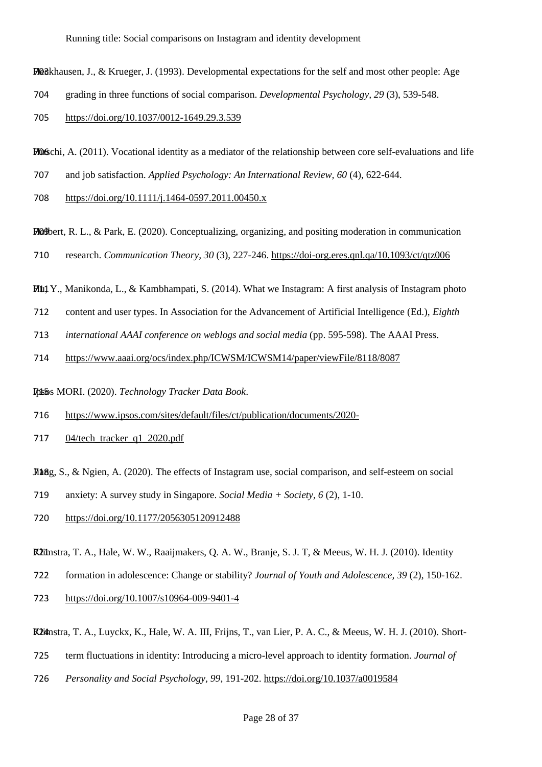Heckhausen, J., & Krueger, J. (1993). 703 Developmental expectations for the self and most other people: Age

- grading in three functions of social comparison. *Developmental Psychology, 29* (3), 539-548.
- <https://doi.org/10.1037/0012-1649.29.3.539>

 $H$ <sub>066</sub> $chi$ , A. (2011). Vocational identity as a mediator of the relationship between core self-evaluations and life

- and job satisfaction. *Applied Psychology: An International Review, 60* (4), 622-644.
- <https://doi.org/10.1111/j.1464-0597.2011.00450.x>

 $H$ <sup>04</sup> bert, R. L., & Park, E. (2020). Conceptualizing, organizing, and positing moderation in communication

- research. *Communication Theory, 30* (3), 227-246.<https://doi-org.eres.qnl.qa/10.1093/ct/qtz006>
- $H_1$  Y., Manikonda, L., & Kambhampati, S. (2014). What we Instagram: A first analysis of Instagram photo
- content and user types. In Association for the Advancement of Artificial Intelligence (Ed.), *Eighth*
- *international AAAI conference on weblogs and social media* (pp. 595-598). The AAAI Press.

<https://www.aaai.org/ocs/index.php/ICWSM/ICWSM14/paper/viewFile/8118/8087>

Ipsos MORI. (2020). Technology Tracker Data Book.

[https://www.ipsos.com/sites/default/files/ct/publication/documents/2020-](https://www.ipsos.com/sites/default/files/ct/publication/documents/2020-04/tech_tracker_q1_2020.pdf)

[04/tech\\_tracker\\_q1\\_2020.pdf](https://www.ipsos.com/sites/default/files/ct/publication/documents/2020-04/tech_tracker_q1_2020.pdf)

 $J4aBg$ , S., & Ngien, A. (2020). The effects of Instagram use, social comparison, and self-esteem on social

anxiety: A survey study in Singapore. *Social Media + Society, 6* (2), 1-10.

<https://doi.org/10.1177/2056305120912488>

**Klimstra, T. A., Hale, W. W., Raaijmakers, Q. A. W., Branje, S. J. T, & Meeus, W. H. J. (2010). Identity** 

- formation in adolescence: Change or stability? *Journal of Youth and Adolescence, 39* (2), 150-162.
- <https://doi.org/10.1007/s10964-009-9401-4>
- Klimstra, T. A., Luyckx, K., Hale, W. A. III, Frijns, T., van Lier, P. A. C., & Meeus, W. H. J. (2010). Short-
- term fluctuations in identity: Introducing a micro-level approach to identity formation. *Journal of*
- *Personality and Social Psychology, 99*, 191-202.<https://doi.org/10.1037/a0019584>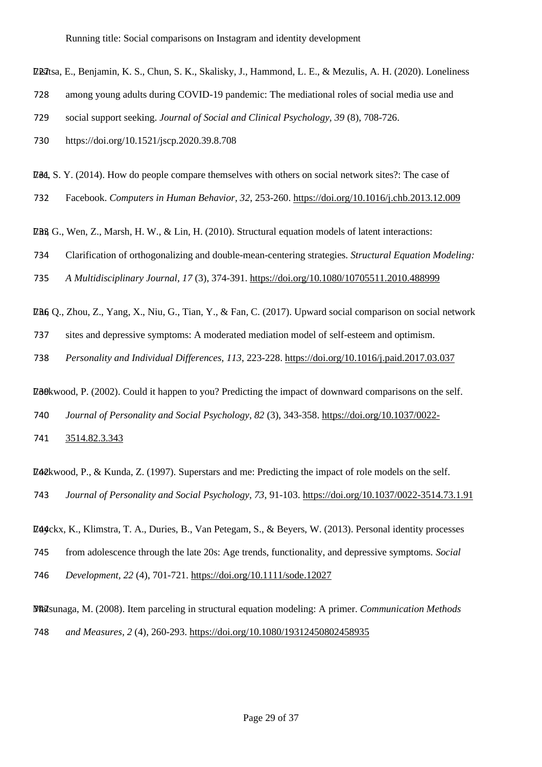LERItsa, E., Benjamin, K. S., Chun, S. K., Skalisky, J., Hammond, L. E., & Mezulis, A. H. (2020). Loneliness

- 728 among young adults during COVID-19 pandemic: The mediational roles of social media use and
- 729 social support seeking. *Journal of Social and Clinical Psychology, 39* (8), 708-726.
- 730 https://doi.org/10.1521/jscp.2020.39.8.708

Let, S. Y. (2014). How do people compare themselves with others on social network sites?: The case of

732 Facebook. *Computers in Human Behavior, 32*, 253-260.<https://doi.org/10.1016/j.chb.2013.12.009>

LBB G., Wen, Z., Marsh, H. W., & Lin, H. (2010). Structural equation models of latent interactions:

734 Clarification of orthogonalizing and double-mean-centering strategies. *Structural Equation Modeling:* 

735 *A Multidisciplinary Journal, 17* (3), 374-391.<https://doi.org/10.1080/10705511.2010.488999>

LaG Q., Zhou, Z., Yang, X., Niu, G., Tian, Y., & Fan, C. (2017). Upward social comparison on social network

737 sites and depressive symptoms: A moderated mediation model of self-esteem and optimism.

738 *Personality and Individual Differences, 113*, 223-228.<https://doi.org/10.1016/j.paid.2017.03.037>

LBORwood, P. (2002). Could it happen to you? Predicting the impact of downward comparisons on the self.

740 *Journal of Personality and Social Psychology, 82* (3), 343-358[. https://doi.org/10.1037/0022-](https://doi.org/10.1037/0022-3514.82.3.343)

741 [3514.82.3.343](https://doi.org/10.1037/0022-3514.82.3.343)

LACKwood, P., & Kunda, Z. (1997). Superstars and me: Predicting the impact of role models on the self. 743 *Journal of Personality and Social Psychology, 73*, 91-103.<https://doi.org/10.1037/0022-3514.73.1.91>

Lutyckx, K., Klimstra, T. A., Duries, B., Van Petegam, S., & Beyers, W. (2013). Personal identity processes

745 from adolescence through the late 20s: Age trends, functionality, and depressive symptoms. *Social* 

746 *Development, 22* (4), 701-721.<https://doi.org/10.1111/sode.12027>

Matsunaga, M. (2008). Item 747 parceling in structural equation modeling: A primer. *Communication Methods*  748 *and Measures, 2* (4), 260-293.<https://doi.org/10.1080/19312450802458935>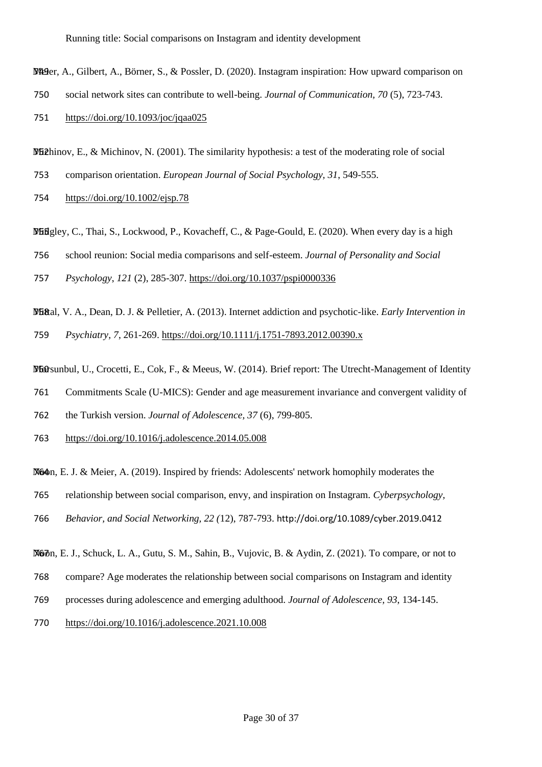Meger, A., Gilbert, A., Börner, S., & Possler, D. (2020). Instagram inspiration: How upward comparison on

- social network sites can contribute to well-being. *Journal of Communication, 70* (5), 723-743.
- <https://doi.org/10.1093/joc/jqaa025>

**Michinov, E., & Michinov, N. (2001). The similarity hypothesis: a test of the moderating role of social** 

- comparison orientation. *European Journal of Social Psychology, 31*, 549-555.
- <https://doi.org/10.1002/ejsp.78>
- Midgley, C., Thai, S., Lockwood, P., Kovacheff, C., & Page-Gould, E. (2020). When every day is a high

school reunion: Social media comparisons and self-esteem. *Journal of Personality and Social* 

*Psychology*, *121* (2), 285-307.<https://doi.org/10.1037/pspi0000336>

Mittal, V. A., Dean, D. J. & Pelletier, A. (2013). Internet addiction and psychotic 758 -like. *Early Intervention in Psychiatry, 7*, 261-269[. https://doi.org/10.1111/j.1751-7893.2012.00390.x](https://doi.org/10.1111/j.1751-7893.2012.00390.x)

W60 sunbul, U., Crocetti, E., Cok, F., & Meeus, W. (2014). Brief report: The Utrecht-Management of Identity

Commitments Scale (U-MICS): Gender and age measurement invariance and convergent validity of

the Turkish version. *Journal of Adolescence, 37* (6), 799-805.

<https://doi.org/10.1016/j.adolescence.2014.05.008>

Nother, E. J. & Meier, A. (2019). Inspired by friends: Adolescents' network homophily moderates the

- relationship between social comparison, envy, and inspiration on Instagram. *Cyberpsychology,*
- *Behavior, and Social Networking, 22 (*12), 787-793. <http://doi.org/10.1089/cyber.2019.0412>

Noon, E. J., Schuck, L. A., Gutu, S. M., Sahin, B., Vujovic, B. & Aydin, Z. (2021). To compare, or not to

- compare? Age moderates the relationship between social comparisons on Instagram and identity
- processes during adolescence and emerging adulthood. *Journal of Adolescence, 93*, 134-145.
- <https://doi.org/10.1016/j.adolescence.2021.10.008>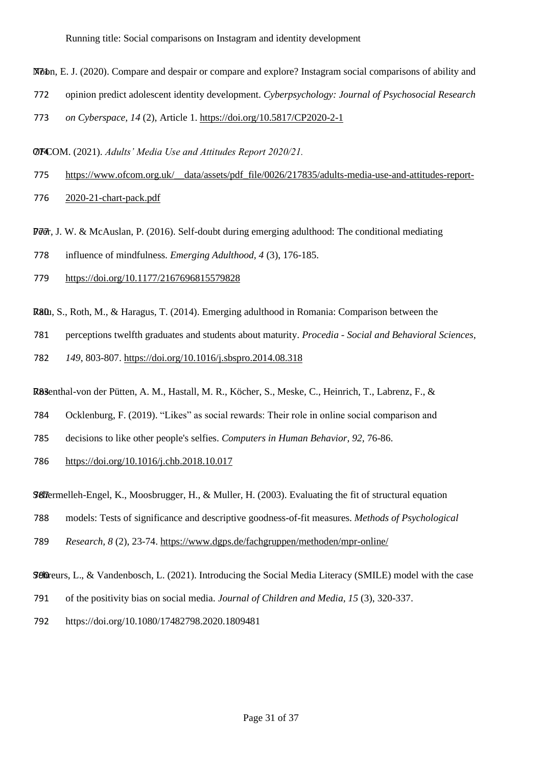- Noon, E. 771 J. (2020). Compare and despair or compare and explore? Instagram social comparisons of ability and
- 772 opinion predict adolescent identity development. *Cyberpsychology: Journal of Psychosocial Research*
- 773 *on Cyberspace, 14* (2), Article 1. <https://doi.org/10.5817/CP2020-2-1>

**OFCOM.** (2021). Adults' Media Use and Attitudes Report 2020/21.

775 https://www.ofcom.org.uk/ data/assets/pdf file/0026/217835/adults-media-use-and-attitudes-report-

776 [2020-21-chart-pack.pdf](https://www.ofcom.org.uk/__data/assets/pdf_file/0026/217835/adults-media-use-and-attitudes-report-2020-21-chart-pack.pdf)

Per, J. W. & McAuslan, P. (2016). Self-doubt during emerging adulthood: The conditional mediating

778 influence of mindfulness. *Emerging Adulthood, 4* (3), 176-185.

- 779 <https://doi.org/10.1177/2167696815579828>
- $R80u$ , S., Roth, M., & Haragus, T. (2014). Emerging adulthood in Romania: Comparison between the
- 781 perceptions twelfth graduates and students about maturity. *Procedia - Social and Behavioral Sciences,*

782 *149*, 803-807.<https://doi.org/10.1016/j.sbspro.2014.08.318>

R83 enthal -von der Pütten, A. M., Hastall, M. R., Köcher, S., Meske, C., Heinrich, T., Labrenz, F., &

- 784 Ocklenburg, F. (2019). "Likes" as social rewards: Their role in online social comparison and
- 785 decisions to like other people's selfies. *Computers in Human Behavior, 92,* 76-86.

786 <https://doi.org/10.1016/j.chb.2018.10.017>

**SC**R ermelleh Engel, K., Moosbrugger, H., & Muller, H. (2003). Evaluating the fit of structural equation

- 788 models: Tests of significance and descriptive goodness-of-fit measures. *Methods of Psychological*
- 789 *Research, 8* (2), 23-74.<https://www.dgps.de/fachgruppen/methoden/mpr-online/>
- **SOD**reurs, L., & Vandenbosch, L. (2021). Introducing the Social Media Literacy (SMILE) model with the case
- 791 of the positivity bias on social media. *Journal of Children and Media, 15* (3), 320-337.
- 792 https://doi.org/10.1080/17482798.2020.1809481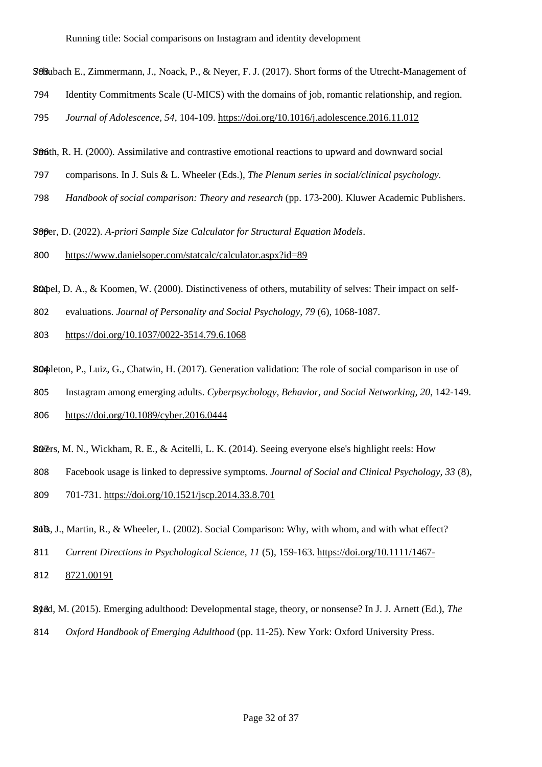SCHubach E., Zimmermann, J., Noack, P., & Neyer, F. J. (2017). Short forms of the Utrecht-Management of

- 794 Identity Commitments Scale (U-MICS) with the domains of job, romantic relationship, and region.
- 795 *Journal of Adolescence, 54*, 104-109.<https://doi.org/10.1016/j.adolescence.2016.11.012>

**SMIGHT**, R. H. (2000). Assimilative and contrastive emotional reactions to upward and downward social

- 797 comparisons. In J. Suls & L. Wheeler (Eds.), *The Plenum series in social/clinical psychology.*
- 798 *Handbook of social comparison: Theory and research* (pp. 173-200). Kluwer Academic Publishers.

SOPer, D. (2022). A-priori Sample Size Calculator for Structural Equation Models.

800 <https://www.danielsoper.com/statcalc/calculator.aspx?id=89>

**Sc**apel, D. A., & Koomen, W. (2000). Distinctiveness of others, mutability of selves: Their impact on self-

- 802 evaluations. *Journal of Personality and Social Psychology, 79* (6), 1068-1087.
- 803 <https://doi.org/10.1037/0022-3514.79.6.1068>

Stapleton, P., Luiz, G., Chatwin, H. (2017). Generation validation: The role of social comparison in use of

805 Instagram among emerging adults. *Cyberpsychology, Behavior, and Social Networking, 20*, 142-149.

- 806 <https://doi.org/10.1089/cyber.2016.0444>
- **SG**Ers, M. N., Wickham, R. E., & Acitelli, L. K. (2014). Seeing everyone else's highlight reels: How
- 808 Facebook usage is linked to depressive symptoms. *Journal of Social and Clinical Psychology, 33* (8),
- 809 701-731.<https://doi.org/10.1521/jscp.2014.33.8.701>
- **Suls**, J., Martin, R., & Wheeler, L. (2002). Social Comparison: Why, with whom, and with what effect?
- 811 *Current Directions in Psychological Science, 11* (5), 159-163. [https://doi.org/10.1111/1467-](https://doi.org/10.1111/1467-8721.00191)
- 812 [8721.00191](https://doi.org/10.1111/1467-8721.00191)

Syed, M. (2015). Emerging adulthood: Developmental stage, theory, or nonsense? In J. J. Arnett (Ed.), 813 *The* 

814 *Oxford Handbook of Emerging Adulthood* (pp. 11-25). New York: Oxford University Press.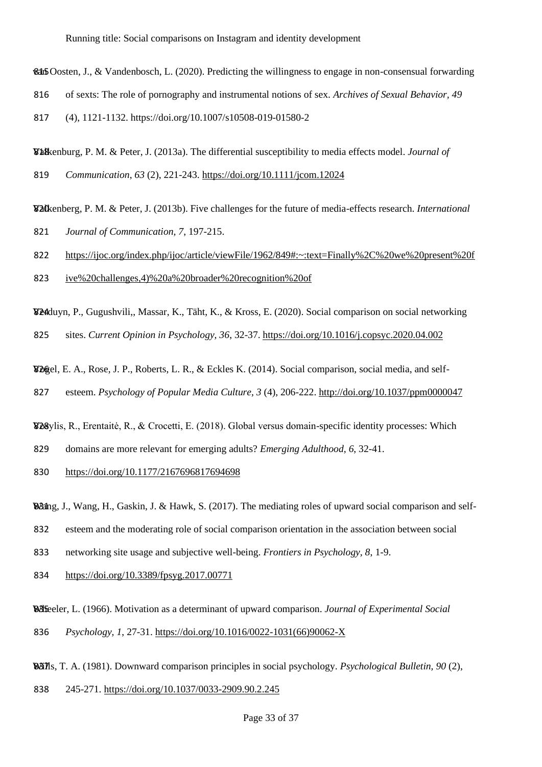845 Oosten, J., & Vandenbosch, L. (2020). Predicting the willingness to engage in non-consensual forwarding

816 of sexts: The role of pornography and instrumental notions of sex. *Archives of Sexual Behavior, 49*

817 (4), 1121-1132. https://doi.org/10.1007/s10508-019-01580-2

Valkenburg, P. M. & Peter, J. (2013 818 a). The differential susceptibility to media effects model. *Journal of*  819 *Communication*, *63* (2), 221-243.<https://doi.org/10.1111/jcom.12024>

Valkenberg, P. M. & Peter, J. (2013b). Five challenges for the future of media 820 -effects research. *International*  821 *Journal of Communication, 7*, 197-215.

822 [https://ijoc.org/index.php/ijoc/article/viewFile/1962/849#:~:text=Finally%2C%20we%20present%20f](https://ijoc.org/index.php/ijoc/article/viewFile/1962/849#:~:text=Finally%2C%20we%20present%20five%20challenges,4)%20a%20broader%20recognition%20of)

823 [ive%20challenges,4\)%20a%20broader%20recognition%20of](https://ijoc.org/index.php/ijoc/article/viewFile/1962/849#:~:text=Finally%2C%20we%20present%20five%20challenges,4)%20a%20broader%20recognition%20of)

V24 duyn, P., Gugushvili,, Massar, K., Täht, K., & Kross, E. (2020). Social comparison on social networking

825 sites. *Current Opinion in Psychology, 36*, 32-37[. https://doi.org/10.1016/j.copsyc.2020.04.002](https://doi.org/10.1016/j.copsyc.2020.04.002)

Vogel, E. A., Rose, J. P., Roberts, L. R., & Eckles K. (2014). Social comparison, social media, and self-

827 esteem. *Psychology of Popular Media Culture, 3* (4), 206-222.<http://doi.org/10.1037/ppm0000047>

Vosylis, R., Erentaitė, R., & Crocetti, E. (2018). Global versus domain-specific identity processes: Which

829 domains are more relevant for emerging adults? *Emerging Adulthood, 6*, 32-41.

830 <https://doi.org/10.1177/2167696817694698>

Wang, J., Wang, H., Gaskin, J. & Hawk, S. (2017). The mediating roles of upward social comparison and self-

832 esteem and the moderating role of social comparison orientation in the association between social

833 networking site usage and subjective well-being. *Frontiers in Psychology, 8*, 1-9.

834 <https://doi.org/10.3389/fpsyg.2017.00771>

Wheeler, L. (1966). Motivation as a determinant of upward comparison. *Journal of Experimental Social* 836 *Psychology, 1*, 27-31. [https://doi.org/10.1016/0022-1031\(66\)90062-X](https://doi.org/10.1016/0022-1031(66)90062-X)

WIMS, T. A. (1981). Downward comparison principles in social psychology. Psychological Bulletin, 90 (2),

838 245-271.<https://doi.org/10.1037/0033-2909.90.2.245>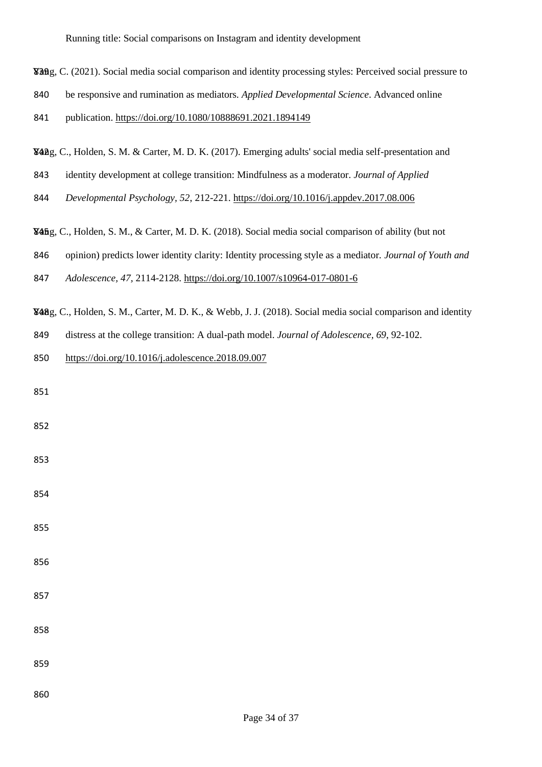- Yang, C. (2021). Social media social comparison and identity processing styles: Perceived social pressure to 839
- be responsive and rumination as mediators. *Applied Developmental Science*. Advanced online
- publication.<https://doi.org/10.1080/10888691.2021.1894149>
- Yang, C., Holden, S. M. & Carter, M. D. K. (2017). Emerging adults' social media self-presentation and
- identity development at college transition: Mindfulness as a moderator. *Journal of Applied*
- *Developmental Psychology, 52*, 212-221.<https://doi.org/10.1016/j.appdev.2017.08.006>
- Yang, C., Holden, S. M., & Carter, M. D. K. (2018). Social media social comparison of ability (but not 845
- opinion) predicts lower identity clarity: Identity processing style as a mediator. *Journal of Youth and*
- *Adolescence, 47,* 2114-2128.<https://doi.org/10.1007/s10964-017-0801-6>
- Yang, C., Holden, S. M., Carter, M. D. K., & Webb, J. J. (2018). Social media social comparison and identity 848
- distress at the college transition: A dual-path model. *Journal of Adolescence, 69*, 92-102.
- <https://doi.org/10.1016/j.adolescence.2018.09.007>

| 851 |  |  |  |
|-----|--|--|--|
| 852 |  |  |  |
| 853 |  |  |  |
| 854 |  |  |  |
| 855 |  |  |  |
| 856 |  |  |  |
| 857 |  |  |  |
| 858 |  |  |  |
| 859 |  |  |  |
| 860 |  |  |  |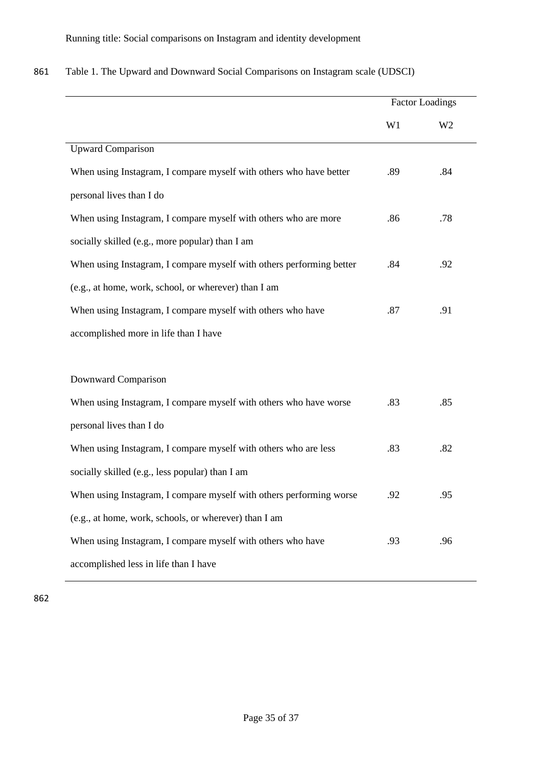|                                                                      | <b>Factor Loadings</b> |                |
|----------------------------------------------------------------------|------------------------|----------------|
|                                                                      | W1                     | W <sub>2</sub> |
| Upward Comparison                                                    |                        |                |
| When using Instagram, I compare myself with others who have better   | .89                    | .84            |
| personal lives than I do                                             |                        |                |
| When using Instagram, I compare myself with others who are more      | .86                    | .78            |
| socially skilled (e.g., more popular) than I am                      |                        |                |
| When using Instagram, I compare myself with others performing better | .84                    | .92            |
| (e.g., at home, work, school, or wherever) than I am                 |                        |                |
| When using Instagram, I compare myself with others who have          | .87                    | .91            |
| accomplished more in life than I have                                |                        |                |
| Downward Comparison                                                  |                        |                |
| When using Instagram, I compare myself with others who have worse    | .83                    | .85            |
| personal lives than I do                                             |                        |                |
| When using Instagram, I compare myself with others who are less      | .83                    | .82            |
| socially skilled (e.g., less popular) than I am                      |                        |                |
| When using Instagram, I compare myself with others performing worse  | .92                    | .95            |
| (e.g., at home, work, schools, or wherever) than I am                |                        |                |
| When using Instagram, I compare myself with others who have          | .93                    | .96            |
| accomplished less in life than I have                                |                        |                |
|                                                                      |                        |                |

| 861 | Table 1. The Upward and Downward Social Comparisons on Instagram scale (UDSCI) |  |  |  |  |
|-----|--------------------------------------------------------------------------------|--|--|--|--|
|-----|--------------------------------------------------------------------------------|--|--|--|--|

862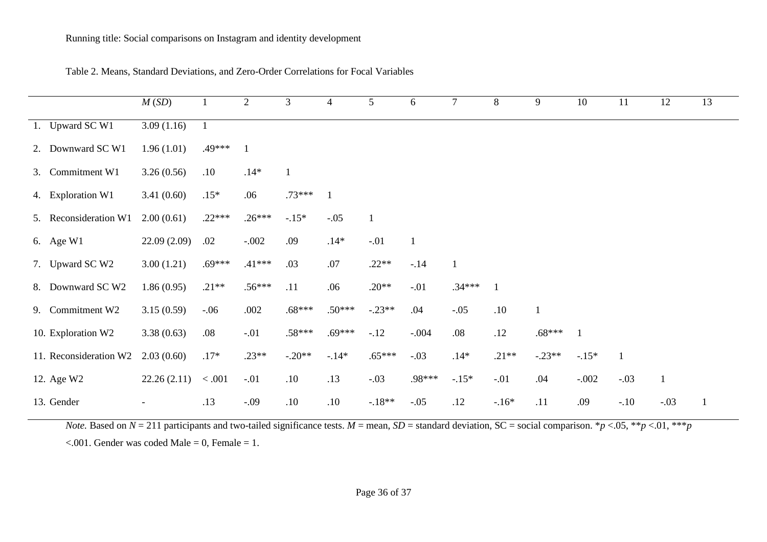|                        | M(SD)                    | $\mathbf{1}$   | 2        | 3        | $\overline{4}$ | 5            | 6            | $\tau$       | 8            | 9        | 10           | 11     | 12           | 13           |
|------------------------|--------------------------|----------------|----------|----------|----------------|--------------|--------------|--------------|--------------|----------|--------------|--------|--------------|--------------|
| 1. Upward SC W1        | 3.09(1.16)               | $\overline{1}$ |          |          |                |              |              |              |              |          |              |        |              |              |
| 2. Downward SC W1      | 1.96(1.01)               | .49***         |          |          |                |              |              |              |              |          |              |        |              |              |
| 3. Commitment W1       | 3.26(0.56)               | .10            | $.14*$   |          |                |              |              |              |              |          |              |        |              |              |
| 4. Exploration W1      | 3.41(0.60)               | $.15*$         | .06      | $.73***$ | -1             |              |              |              |              |          |              |        |              |              |
| 5. Reconsideration W1  | 2.00(0.61)               | $.22***$       | $.26***$ | $-.15*$  | $-.05$         | $\mathbf{1}$ |              |              |              |          |              |        |              |              |
| 6. Age W1              | 22.09(2.09)              | .02            | $-.002$  | .09      | $.14*$         | $-.01$       | $\mathbf{1}$ |              |              |          |              |        |              |              |
| 7. Upward SC W2        | 3.00(1.21)               | $.69***$       | $.41***$ | .03      | .07            | $.22**$      | $-.14$       | $\mathbf{1}$ |              |          |              |        |              |              |
| 8. Downward SC W2      | 1.86(0.95)               | $.21**$        | $.56***$ | .11      | .06            | $.20**$      | $-.01$       | $.34***$     | $\mathbf{1}$ |          |              |        |              |              |
| 9. Commitment W2       | 3.15(0.59)               | $-.06$         | .002     | $.68***$ | $.50***$       | $-.23**$     | .04          | $-.05$       | .10          | 1        |              |        |              |              |
| 10. Exploration W2     | 3.38(0.63)               | .08            | $-.01$   | $.58***$ | $.69***$       | $-.12$       | $-.004$      | .08          | .12          | $.68***$ | $\mathbf{1}$ |        |              |              |
| 11. Reconsideration W2 | 2.03(0.60)               | $.17*$         | $.23**$  | $-.20**$ | $-.14*$        | $.65***$     | $-.03$       | $.14*$       | $.21**$      | $-.23**$ | $-.15*$      |        |              |              |
| 12. Age W2             | 22.26(2.11)              | < .001         | $-.01$   | .10      | .13            | $-.03$       | .98***       | $-15*$       | $-.01$       | .04      | $-.002$      | $-.03$ | $\mathbf{1}$ |              |
| 13. Gender             | $\overline{\phantom{a}}$ | .13            | $-.09$   | .10      | .10            | $-.18**$     | $-.05$       | .12          | $-16*$       | .11      | .09          | $-.10$ | $-.03$       | $\mathbf{1}$ |

Table 2. Means, Standard Deviations, and Zero-Order Correlations for Focal Variables

*Note.* Based on  $N = 211$  participants and two-tailed significance tests.  $M =$  mean,  $SD =$  standard deviation,  $SC =$  social comparison. \**p* <.05, \*\**p* <.01, \*\*\**p*  $\leq$ .001. Gender was coded Male = 0, Female = 1.